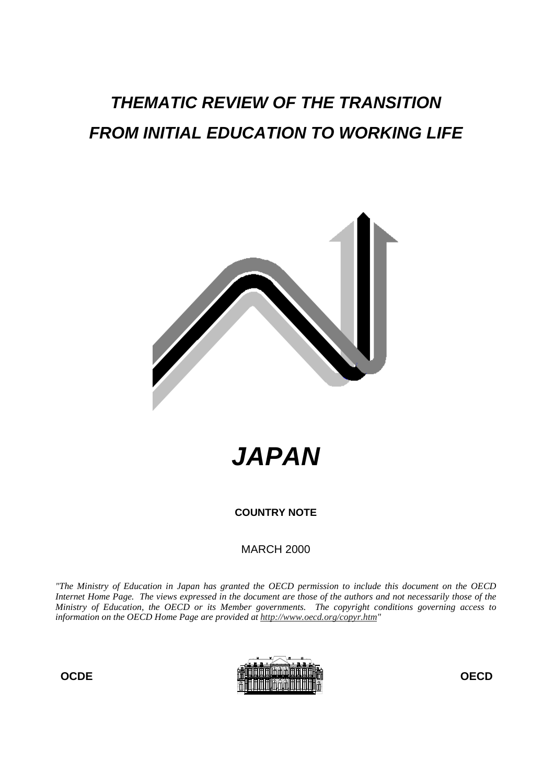# **THEMATIC REVIEW OF THE TRANSITION FROM INITIAL EDUCATION TO WORKING LIFE**



**JAPAN**

**COUNTRY NOTE**

MARCH 2000

*"The Ministry of Education in Japan has granted the OECD permission to include this document on the OECD Internet Home Page. The views expressed in the document are those of the authors and not necessarily those of the Ministry of Education, the OECD or its Member governments. The copyright conditions governing access to information on the OECD Home Page are provided at http://www.oecd.org/copyr.htm"*

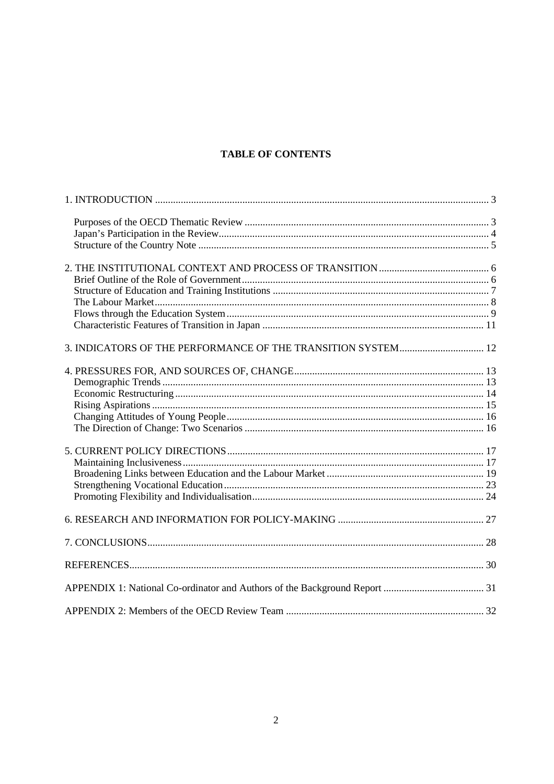# **TABLE OF CONTENTS**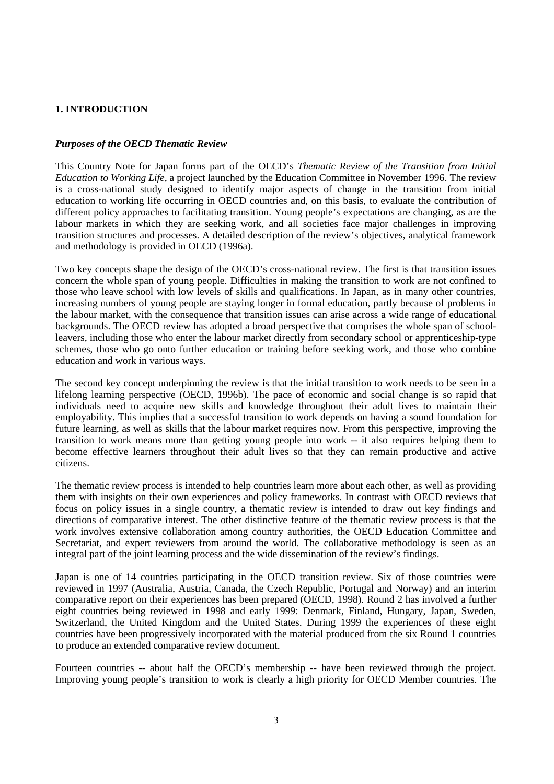# **1. INTRODUCTION**

## *Purposes of the OECD Thematic Review*

This Country Note for Japan forms part of the OECD's *Thematic Review of the Transition from Initial Education to Working Life*, a project launched by the Education Committee in November 1996. The review is a cross-national study designed to identify major aspects of change in the transition from initial education to working life occurring in OECD countries and, on this basis, to evaluate the contribution of different policy approaches to facilitating transition. Young people's expectations are changing, as are the labour markets in which they are seeking work, and all societies face major challenges in improving transition structures and processes. A detailed description of the review's objectives, analytical framework and methodology is provided in OECD (1996a).

Two key concepts shape the design of the OECD's cross-national review. The first is that transition issues concern the whole span of young people. Difficulties in making the transition to work are not confined to those who leave school with low levels of skills and qualifications. In Japan, as in many other countries, increasing numbers of young people are staying longer in formal education, partly because of problems in the labour market, with the consequence that transition issues can arise across a wide range of educational backgrounds. The OECD review has adopted a broad perspective that comprises the whole span of schoolleavers, including those who enter the labour market directly from secondary school or apprenticeship-type schemes, those who go onto further education or training before seeking work, and those who combine education and work in various ways.

The second key concept underpinning the review is that the initial transition to work needs to be seen in a lifelong learning perspective (OECD, 1996b). The pace of economic and social change is so rapid that individuals need to acquire new skills and knowledge throughout their adult lives to maintain their employability. This implies that a successful transition to work depends on having a sound foundation for future learning, as well as skills that the labour market requires now. From this perspective, improving the transition to work means more than getting young people into work -- it also requires helping them to become effective learners throughout their adult lives so that they can remain productive and active citizens.

The thematic review process is intended to help countries learn more about each other, as well as providing them with insights on their own experiences and policy frameworks. In contrast with OECD reviews that focus on policy issues in a single country, a thematic review is intended to draw out key findings and directions of comparative interest. The other distinctive feature of the thematic review process is that the work involves extensive collaboration among country authorities, the OECD Education Committee and Secretariat, and expert reviewers from around the world. The collaborative methodology is seen as an integral part of the joint learning process and the wide dissemination of the review's findings.

Japan is one of 14 countries participating in the OECD transition review. Six of those countries were reviewed in 1997 (Australia, Austria, Canada, the Czech Republic, Portugal and Norway) and an interim comparative report on their experiences has been prepared (OECD, 1998). Round 2 has involved a further eight countries being reviewed in 1998 and early 1999: Denmark, Finland, Hungary, Japan, Sweden, Switzerland, the United Kingdom and the United States. During 1999 the experiences of these eight countries have been progressively incorporated with the material produced from the six Round 1 countries to produce an extended comparative review document.

Fourteen countries -- about half the OECD's membership -- have been reviewed through the project. Improving young people's transition to work is clearly a high priority for OECD Member countries. The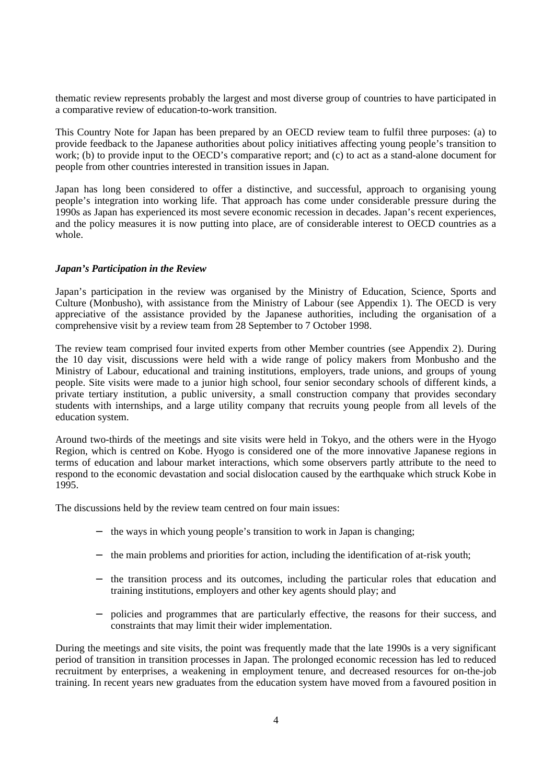thematic review represents probably the largest and most diverse group of countries to have participated in a comparative review of education-to-work transition.

This Country Note for Japan has been prepared by an OECD review team to fulfil three purposes: (a) to provide feedback to the Japanese authorities about policy initiatives affecting young people's transition to work; (b) to provide input to the OECD's comparative report; and (c) to act as a stand-alone document for people from other countries interested in transition issues in Japan.

Japan has long been considered to offer a distinctive, and successful, approach to organising young people's integration into working life. That approach has come under considerable pressure during the 1990s as Japan has experienced its most severe economic recession in decades. Japan's recent experiences, and the policy measures it is now putting into place, are of considerable interest to OECD countries as a whole.

## *Japan's Participation in the Review*

Japan's participation in the review was organised by the Ministry of Education, Science, Sports and Culture (Monbusho), with assistance from the Ministry of Labour (see Appendix 1). The OECD is very appreciative of the assistance provided by the Japanese authorities, including the organisation of a comprehensive visit by a review team from 28 September to 7 October 1998.

The review team comprised four invited experts from other Member countries (see Appendix 2). During the 10 day visit, discussions were held with a wide range of policy makers from Monbusho and the Ministry of Labour, educational and training institutions, employers, trade unions, and groups of young people. Site visits were made to a junior high school, four senior secondary schools of different kinds, a private tertiary institution, a public university, a small construction company that provides secondary students with internships, and a large utility company that recruits young people from all levels of the education system.

Around two-thirds of the meetings and site visits were held in Tokyo, and the others were in the Hyogo Region, which is centred on Kobe. Hyogo is considered one of the more innovative Japanese regions in terms of education and labour market interactions, which some observers partly attribute to the need to respond to the economic devastation and social dislocation caused by the earthquake which struck Kobe in 1995.

The discussions held by the review team centred on four main issues:

- − the ways in which young people's transition to work in Japan is changing;
- − the main problems and priorities for action, including the identification of at-risk youth;
- − the transition process and its outcomes, including the particular roles that education and training institutions, employers and other key agents should play; and
- − policies and programmes that are particularly effective, the reasons for their success, and constraints that may limit their wider implementation.

During the meetings and site visits, the point was frequently made that the late 1990s is a very significant period of transition in transition processes in Japan. The prolonged economic recession has led to reduced recruitment by enterprises, a weakening in employment tenure, and decreased resources for on-the-job training. In recent years new graduates from the education system have moved from a favoured position in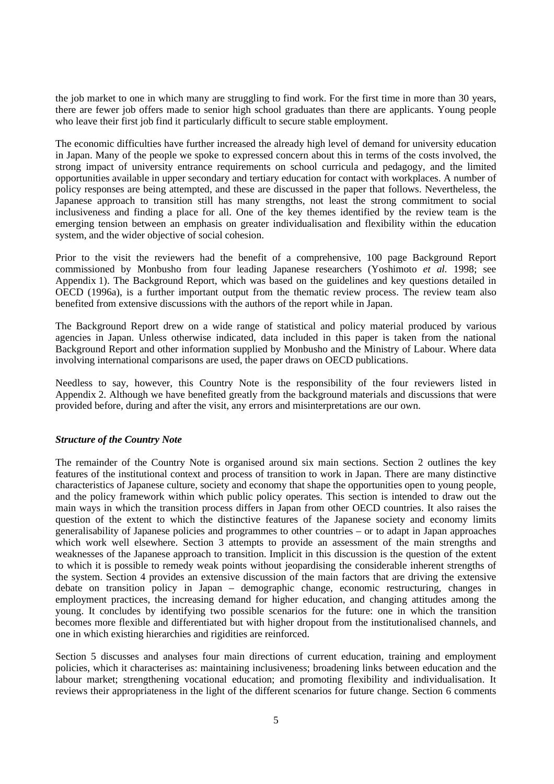the job market to one in which many are struggling to find work. For the first time in more than 30 years, there are fewer job offers made to senior high school graduates than there are applicants. Young people who leave their first job find it particularly difficult to secure stable employment.

The economic difficulties have further increased the already high level of demand for university education in Japan. Many of the people we spoke to expressed concern about this in terms of the costs involved, the strong impact of university entrance requirements on school curricula and pedagogy, and the limited opportunities available in upper secondary and tertiary education for contact with workplaces. A number of policy responses are being attempted, and these are discussed in the paper that follows. Nevertheless, the Japanese approach to transition still has many strengths, not least the strong commitment to social inclusiveness and finding a place for all. One of the key themes identified by the review team is the emerging tension between an emphasis on greater individualisation and flexibility within the education system, and the wider objective of social cohesion.

Prior to the visit the reviewers had the benefit of a comprehensive, 100 page Background Report commissioned by Monbusho from four leading Japanese researchers (Yoshimoto *et al.* 1998; see Appendix 1). The Background Report, which was based on the guidelines and key questions detailed in OECD (1996a), is a further important output from the thematic review process. The review team also benefited from extensive discussions with the authors of the report while in Japan.

The Background Report drew on a wide range of statistical and policy material produced by various agencies in Japan. Unless otherwise indicated, data included in this paper is taken from the national Background Report and other information supplied by Monbusho and the Ministry of Labour. Where data involving international comparisons are used, the paper draws on OECD publications.

Needless to say, however, this Country Note is the responsibility of the four reviewers listed in Appendix 2. Although we have benefited greatly from the background materials and discussions that were provided before, during and after the visit, any errors and misinterpretations are our own.

## *Structure of the Country Note*

The remainder of the Country Note is organised around six main sections. Section 2 outlines the key features of the institutional context and process of transition to work in Japan. There are many distinctive characteristics of Japanese culture, society and economy that shape the opportunities open to young people, and the policy framework within which public policy operates. This section is intended to draw out the main ways in which the transition process differs in Japan from other OECD countries. It also raises the question of the extent to which the distinctive features of the Japanese society and economy limits generalisability of Japanese policies and programmes to other countries – or to adapt in Japan approaches which work well elsewhere. Section 3 attempts to provide an assessment of the main strengths and weaknesses of the Japanese approach to transition. Implicit in this discussion is the question of the extent to which it is possible to remedy weak points without jeopardising the considerable inherent strengths of the system. Section 4 provides an extensive discussion of the main factors that are driving the extensive debate on transition policy in Japan – demographic change, economic restructuring, changes in employment practices, the increasing demand for higher education, and changing attitudes among the young. It concludes by identifying two possible scenarios for the future: one in which the transition becomes more flexible and differentiated but with higher dropout from the institutionalised channels, and one in which existing hierarchies and rigidities are reinforced.

Section 5 discusses and analyses four main directions of current education, training and employment policies, which it characterises as: maintaining inclusiveness; broadening links between education and the labour market; strengthening vocational education; and promoting flexibility and individualisation. It reviews their appropriateness in the light of the different scenarios for future change. Section 6 comments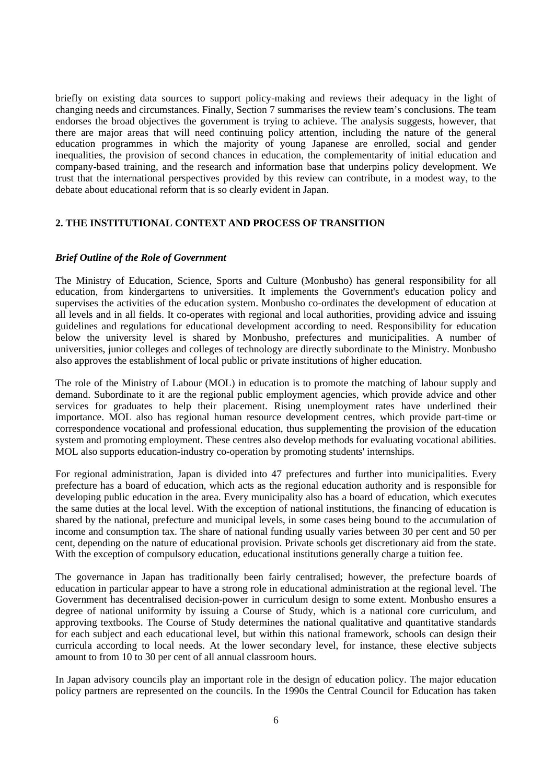briefly on existing data sources to support policy-making and reviews their adequacy in the light of changing needs and circumstances. Finally, Section 7 summarises the review team's conclusions. The team endorses the broad objectives the government is trying to achieve. The analysis suggests, however, that there are major areas that will need continuing policy attention, including the nature of the general education programmes in which the majority of young Japanese are enrolled, social and gender inequalities, the provision of second chances in education, the complementarity of initial education and company-based training, and the research and information base that underpins policy development. We trust that the international perspectives provided by this review can contribute, in a modest way, to the debate about educational reform that is so clearly evident in Japan.

## **2. THE INSTITUTIONAL CONTEXT AND PROCESS OF TRANSITION**

## *Brief Outline of the Role of Government*

The Ministry of Education, Science, Sports and Culture (Monbusho) has general responsibility for all education, from kindergartens to universities. It implements the Government's education policy and supervises the activities of the education system. Monbusho co-ordinates the development of education at all levels and in all fields. It co-operates with regional and local authorities, providing advice and issuing guidelines and regulations for educational development according to need. Responsibility for education below the university level is shared by Monbusho, prefectures and municipalities. A number of universities, junior colleges and colleges of technology are directly subordinate to the Ministry. Monbusho also approves the establishment of local public or private institutions of higher education.

The role of the Ministry of Labour (MOL) in education is to promote the matching of labour supply and demand. Subordinate to it are the regional public employment agencies, which provide advice and other services for graduates to help their placement. Rising unemployment rates have underlined their importance. MOL also has regional human resource development centres, which provide part-time or correspondence vocational and professional education, thus supplementing the provision of the education system and promoting employment. These centres also develop methods for evaluating vocational abilities. MOL also supports education-industry co-operation by promoting students' internships.

For regional administration, Japan is divided into 47 prefectures and further into municipalities. Every prefecture has a board of education, which acts as the regional education authority and is responsible for developing public education in the area. Every municipality also has a board of education, which executes the same duties at the local level. With the exception of national institutions, the financing of education is shared by the national, prefecture and municipal levels, in some cases being bound to the accumulation of income and consumption tax. The share of national funding usually varies between 30 per cent and 50 per cent, depending on the nature of educational provision. Private schools get discretionary aid from the state. With the exception of compulsory education, educational institutions generally charge a tuition fee.

The governance in Japan has traditionally been fairly centralised; however, the prefecture boards of education in particular appear to have a strong role in educational administration at the regional level. The Government has decentralised decision-power in curriculum design to some extent. Monbusho ensures a degree of national uniformity by issuing a Course of Study, which is a national core curriculum, and approving textbooks. The Course of Study determines the national qualitative and quantitative standards for each subject and each educational level, but within this national framework, schools can design their curricula according to local needs. At the lower secondary level, for instance, these elective subjects amount to from 10 to 30 per cent of all annual classroom hours.

In Japan advisory councils play an important role in the design of education policy. The major education policy partners are represented on the councils. In the 1990s the Central Council for Education has taken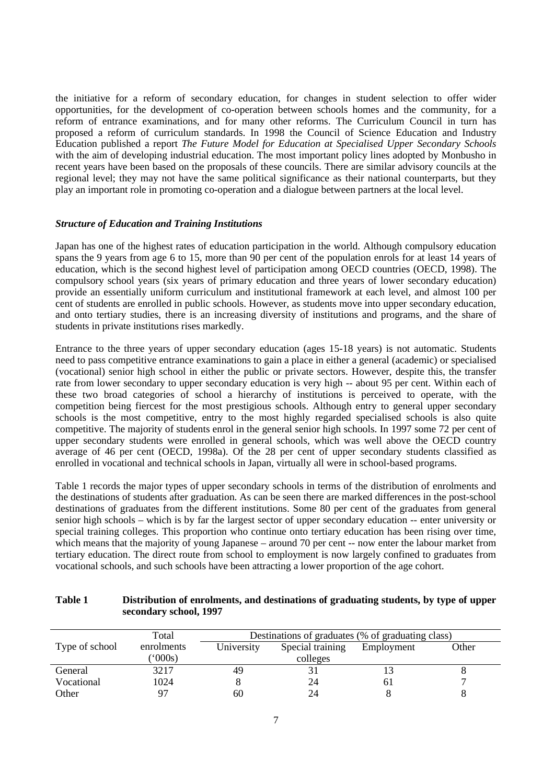the initiative for a reform of secondary education, for changes in student selection to offer wider opportunities, for the development of co-operation between schools homes and the community, for a reform of entrance examinations, and for many other reforms. The Curriculum Council in turn has proposed a reform of curriculum standards. In 1998 the Council of Science Education and Industry Education published a report *The Future Model for Education at Specialised Upper Secondary Schools* with the aim of developing industrial education. The most important policy lines adopted by Monbusho in recent years have been based on the proposals of these councils. There are similar advisory councils at the regional level; they may not have the same political significance as their national counterparts, but they play an important role in promoting co-operation and a dialogue between partners at the local level.

## *Structure of Education and Training Institutions*

Japan has one of the highest rates of education participation in the world. Although compulsory education spans the 9 years from age 6 to 15, more than 90 per cent of the population enrols for at least 14 years of education, which is the second highest level of participation among OECD countries (OECD, 1998). The compulsory school years (six years of primary education and three years of lower secondary education) provide an essentially uniform curriculum and institutional framework at each level, and almost 100 per cent of students are enrolled in public schools. However, as students move into upper secondary education, and onto tertiary studies, there is an increasing diversity of institutions and programs, and the share of students in private institutions rises markedly.

Entrance to the three years of upper secondary education (ages 15-18 years) is not automatic. Students need to pass competitive entrance examinations to gain a place in either a general (academic) or specialised (vocational) senior high school in either the public or private sectors. However, despite this, the transfer rate from lower secondary to upper secondary education is very high -- about 95 per cent. Within each of these two broad categories of school a hierarchy of institutions is perceived to operate, with the competition being fiercest for the most prestigious schools. Although entry to general upper secondary schools is the most competitive, entry to the most highly regarded specialised schools is also quite competitive. The majority of students enrol in the general senior high schools. In 1997 some 72 per cent of upper secondary students were enrolled in general schools, which was well above the OECD country average of 46 per cent (OECD, 1998a). Of the 28 per cent of upper secondary students classified as enrolled in vocational and technical schools in Japan, virtually all were in school-based programs.

Table 1 records the major types of upper secondary schools in terms of the distribution of enrolments and the destinations of students after graduation. As can be seen there are marked differences in the post-school destinations of graduates from the different institutions. Some 80 per cent of the graduates from general senior high schools – which is by far the largest sector of upper secondary education -- enter university or special training colleges. This proportion who continue onto tertiary education has been rising over time, which means that the majority of young Japanese – around 70 per cent -- now enter the labour market from tertiary education. The direct route from school to employment is now largely confined to graduates from vocational schools, and such schools have been attracting a lower proportion of the age cohort.

# **Table 1 Distribution of enrolments, and destinations of graduating students, by type of upper secondary school, 1997**

|                | Total           | Destinations of graduates (% of graduating class) |                  |            |       |
|----------------|-----------------|---------------------------------------------------|------------------|------------|-------|
| Type of school | enrolments      | University                                        | Special training | Employment | Other |
|                | $^{\prime}000s$ |                                                   | colleges         |            |       |
| General        | 3217            | 49                                                |                  |            |       |
| Vocational     | 1024            |                                                   | 24               | 61         |       |
| Other          | 97              | 60                                                | 24               |            |       |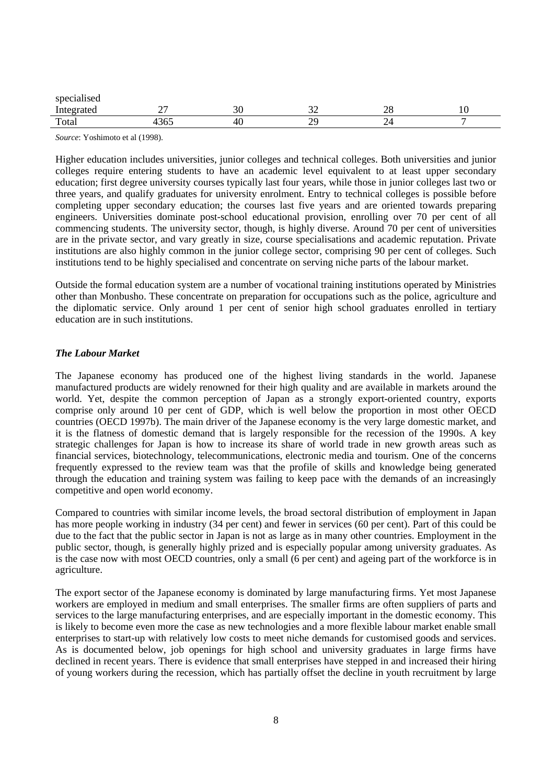| $\cdot$ $\cdot$<br>specialised |     |    |        |     |     |
|--------------------------------|-----|----|--------|-----|-----|
| *****                          |     | ້  |        | ∠⊂  | 1 U |
| Total                          | - - | 40 | o<br>∼ | - - |     |

*Source*: Yoshimoto et al (1998).

Higher education includes universities, junior colleges and technical colleges. Both universities and junior colleges require entering students to have an academic level equivalent to at least upper secondary education; first degree university courses typically last four years, while those in junior colleges last two or three years, and qualify graduates for university enrolment. Entry to technical colleges is possible before completing upper secondary education; the courses last five years and are oriented towards preparing engineers. Universities dominate post-school educational provision, enrolling over 70 per cent of all commencing students. The university sector, though, is highly diverse. Around 70 per cent of universities are in the private sector, and vary greatly in size, course specialisations and academic reputation. Private institutions are also highly common in the junior college sector, comprising 90 per cent of colleges. Such institutions tend to be highly specialised and concentrate on serving niche parts of the labour market.

Outside the formal education system are a number of vocational training institutions operated by Ministries other than Monbusho. These concentrate on preparation for occupations such as the police, agriculture and the diplomatic service. Only around 1 per cent of senior high school graduates enrolled in tertiary education are in such institutions.

## *The Labour Market*

The Japanese economy has produced one of the highest living standards in the world. Japanese manufactured products are widely renowned for their high quality and are available in markets around the world. Yet, despite the common perception of Japan as a strongly export-oriented country, exports comprise only around 10 per cent of GDP, which is well below the proportion in most other OECD countries (OECD 1997b). The main driver of the Japanese economy is the very large domestic market, and it is the flatness of domestic demand that is largely responsible for the recession of the 1990s. A key strategic challenges for Japan is how to increase its share of world trade in new growth areas such as financial services, biotechnology, telecommunications, electronic media and tourism. One of the concerns frequently expressed to the review team was that the profile of skills and knowledge being generated through the education and training system was failing to keep pace with the demands of an increasingly competitive and open world economy.

Compared to countries with similar income levels, the broad sectoral distribution of employment in Japan has more people working in industry (34 per cent) and fewer in services (60 per cent). Part of this could be due to the fact that the public sector in Japan is not as large as in many other countries. Employment in the public sector, though, is generally highly prized and is especially popular among university graduates. As is the case now with most OECD countries, only a small (6 per cent) and ageing part of the workforce is in agriculture.

The export sector of the Japanese economy is dominated by large manufacturing firms. Yet most Japanese workers are employed in medium and small enterprises. The smaller firms are often suppliers of parts and services to the large manufacturing enterprises, and are especially important in the domestic economy. This is likely to become even more the case as new technologies and a more flexible labour market enable small enterprises to start-up with relatively low costs to meet niche demands for customised goods and services. As is documented below, job openings for high school and university graduates in large firms have declined in recent years. There is evidence that small enterprises have stepped in and increased their hiring of young workers during the recession, which has partially offset the decline in youth recruitment by large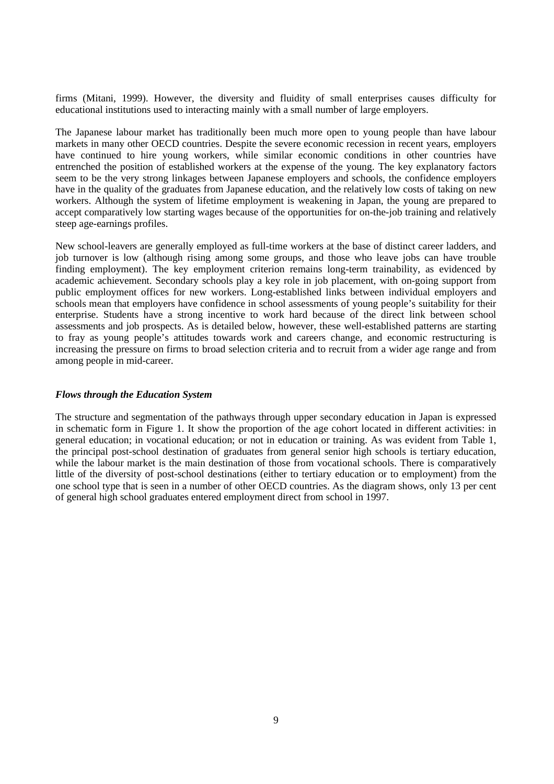firms (Mitani, 1999). However, the diversity and fluidity of small enterprises causes difficulty for educational institutions used to interacting mainly with a small number of large employers.

The Japanese labour market has traditionally been much more open to young people than have labour markets in many other OECD countries. Despite the severe economic recession in recent years, employers have continued to hire young workers, while similar economic conditions in other countries have entrenched the position of established workers at the expense of the young. The key explanatory factors seem to be the very strong linkages between Japanese employers and schools, the confidence employers have in the quality of the graduates from Japanese education, and the relatively low costs of taking on new workers. Although the system of lifetime employment is weakening in Japan, the young are prepared to accept comparatively low starting wages because of the opportunities for on-the-job training and relatively steep age-earnings profiles.

New school-leavers are generally employed as full-time workers at the base of distinct career ladders, and job turnover is low (although rising among some groups, and those who leave jobs can have trouble finding employment). The key employment criterion remains long-term trainability, as evidenced by academic achievement. Secondary schools play a key role in job placement, with on-going support from public employment offices for new workers. Long-established links between individual employers and schools mean that employers have confidence in school assessments of young people's suitability for their enterprise. Students have a strong incentive to work hard because of the direct link between school assessments and job prospects. As is detailed below, however, these well-established patterns are starting to fray as young people's attitudes towards work and careers change, and economic restructuring is increasing the pressure on firms to broad selection criteria and to recruit from a wider age range and from among people in mid-career.

## *Flows through the Education System*

The structure and segmentation of the pathways through upper secondary education in Japan is expressed in schematic form in Figure 1. It show the proportion of the age cohort located in different activities: in general education; in vocational education; or not in education or training. As was evident from Table 1, the principal post-school destination of graduates from general senior high schools is tertiary education, while the labour market is the main destination of those from vocational schools. There is comparatively little of the diversity of post-school destinations (either to tertiary education or to employment) from the one school type that is seen in a number of other OECD countries. As the diagram shows, only 13 per cent of general high school graduates entered employment direct from school in 1997.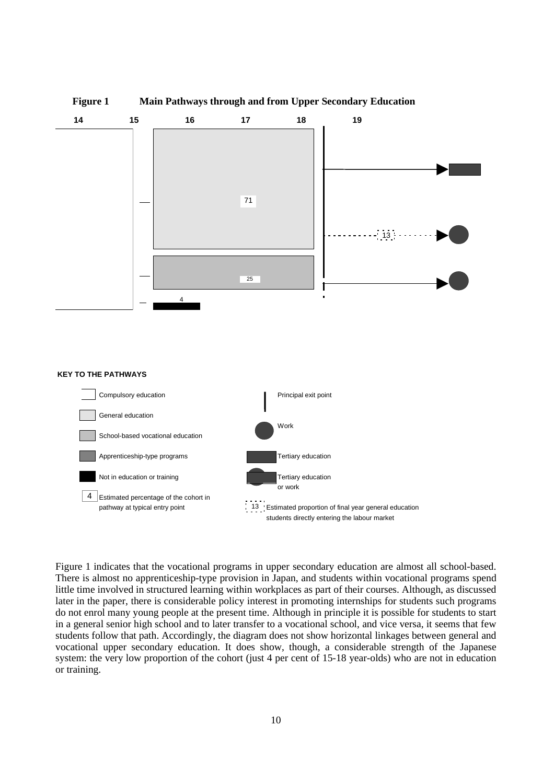

students directly entering the labour market

Figure 1 indicates that the vocational programs in upper secondary education are almost all school-based. There is almost no apprenticeship-type provision in Japan, and students within vocational programs spend little time involved in structured learning within workplaces as part of their courses. Although, as discussed later in the paper, there is considerable policy interest in promoting internships for students such programs do not enrol many young people at the present time. Although in principle it is possible for students to start in a general senior high school and to later transfer to a vocational school, and vice versa, it seems that few students follow that path. Accordingly, the diagram does not show horizontal linkages between general and vocational upper secondary education. It does show, though, a considerable strength of the Japanese system: the very low proportion of the cohort (just 4 per cent of 15-18 year-olds) who are not in education or training.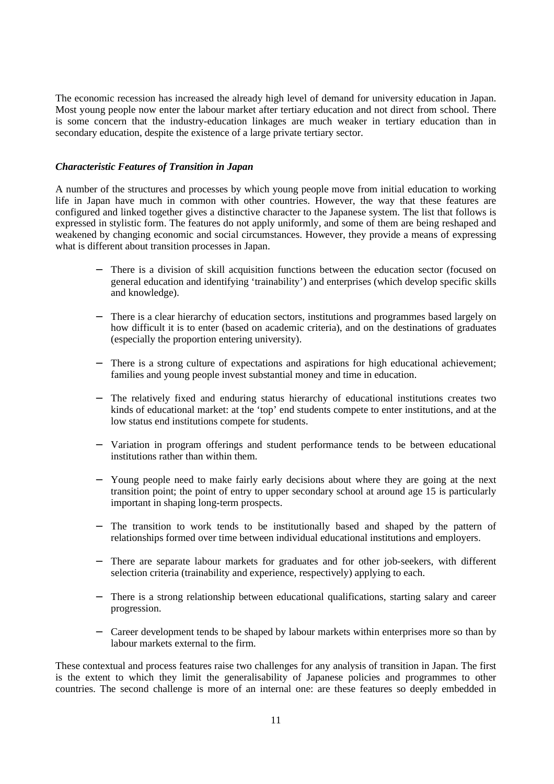The economic recession has increased the already high level of demand for university education in Japan. Most young people now enter the labour market after tertiary education and not direct from school. There is some concern that the industry-education linkages are much weaker in tertiary education than in secondary education, despite the existence of a large private tertiary sector.

## *Characteristic Features of Transition in Japan*

A number of the structures and processes by which young people move from initial education to working life in Japan have much in common with other countries. However, the way that these features are configured and linked together gives a distinctive character to the Japanese system. The list that follows is expressed in stylistic form. The features do not apply uniformly, and some of them are being reshaped and weakened by changing economic and social circumstances. However, they provide a means of expressing what is different about transition processes in Japan.

- There is a division of skill acquisition functions between the education sector (focused on general education and identifying 'trainability') and enterprises (which develop specific skills and knowledge).
- − There is a clear hierarchy of education sectors, institutions and programmes based largely on how difficult it is to enter (based on academic criteria), and on the destinations of graduates (especially the proportion entering university).
- − There is a strong culture of expectations and aspirations for high educational achievement; families and young people invest substantial money and time in education.
- − The relatively fixed and enduring status hierarchy of educational institutions creates two kinds of educational market: at the 'top' end students compete to enter institutions, and at the low status end institutions compete for students.
- − Variation in program offerings and student performance tends to be between educational institutions rather than within them.
- Young people need to make fairly early decisions about where they are going at the next transition point; the point of entry to upper secondary school at around age 15 is particularly important in shaping long-term prospects.
- The transition to work tends to be institutionally based and shaped by the pattern of relationships formed over time between individual educational institutions and employers.
- − There are separate labour markets for graduates and for other job-seekers, with different selection criteria (trainability and experience, respectively) applying to each.
- − There is a strong relationship between educational qualifications, starting salary and career progression.
- − Career development tends to be shaped by labour markets within enterprises more so than by labour markets external to the firm.

These contextual and process features raise two challenges for any analysis of transition in Japan. The first is the extent to which they limit the generalisability of Japanese policies and programmes to other countries. The second challenge is more of an internal one: are these features so deeply embedded in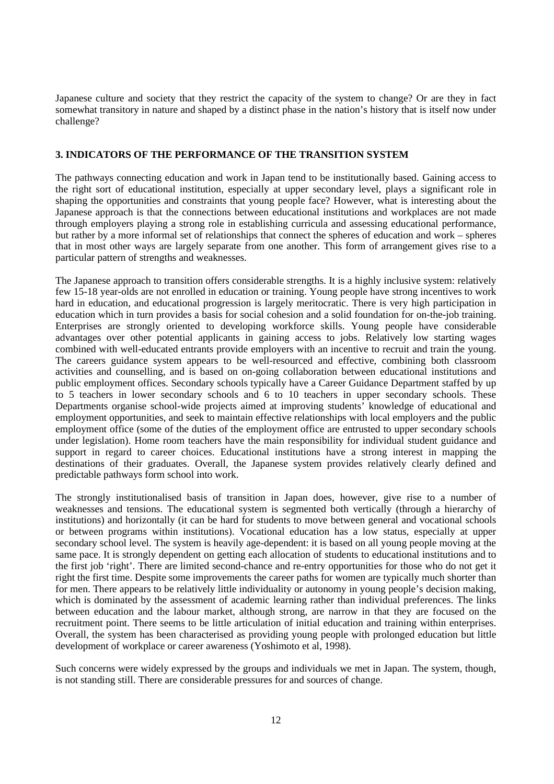Japanese culture and society that they restrict the capacity of the system to change? Or are they in fact somewhat transitory in nature and shaped by a distinct phase in the nation's history that is itself now under challenge?

## **3. INDICATORS OF THE PERFORMANCE OF THE TRANSITION SYSTEM**

The pathways connecting education and work in Japan tend to be institutionally based. Gaining access to the right sort of educational institution, especially at upper secondary level, plays a significant role in shaping the opportunities and constraints that young people face? However, what is interesting about the Japanese approach is that the connections between educational institutions and workplaces are not made through employers playing a strong role in establishing curricula and assessing educational performance, but rather by a more informal set of relationships that connect the spheres of education and work – spheres that in most other ways are largely separate from one another. This form of arrangement gives rise to a particular pattern of strengths and weaknesses.

The Japanese approach to transition offers considerable strengths. It is a highly inclusive system: relatively few 15-18 year-olds are not enrolled in education or training. Young people have strong incentives to work hard in education, and educational progression is largely meritocratic. There is very high participation in education which in turn provides a basis for social cohesion and a solid foundation for on-the-job training. Enterprises are strongly oriented to developing workforce skills. Young people have considerable advantages over other potential applicants in gaining access to jobs. Relatively low starting wages combined with well-educated entrants provide employers with an incentive to recruit and train the young. The careers guidance system appears to be well-resourced and effective, combining both classroom activities and counselling, and is based on on-going collaboration between educational institutions and public employment offices. Secondary schools typically have a Career Guidance Department staffed by up to 5 teachers in lower secondary schools and 6 to 10 teachers in upper secondary schools. These Departments organise school-wide projects aimed at improving students<sup>3</sup> knowledge of educational and employment opportunities, and seek to maintain effective relationships with local employers and the public employment office (some of the duties of the employment office are entrusted to upper secondary schools under legislation). Home room teachers have the main responsibility for individual student guidance and support in regard to career choices. Educational institutions have a strong interest in mapping the destinations of their graduates. Overall, the Japanese system provides relatively clearly defined and predictable pathways form school into work.

The strongly institutionalised basis of transition in Japan does, however, give rise to a number of weaknesses and tensions. The educational system is segmented both vertically (through a hierarchy of institutions) and horizontally (it can be hard for students to move between general and vocational schools or between programs within institutions). Vocational education has a low status, especially at upper secondary school level. The system is heavily age-dependent: it is based on all young people moving at the same pace. It is strongly dependent on getting each allocation of students to educational institutions and to the first job 'right'. There are limited second-chance and re-entry opportunities for those who do not get it right the first time. Despite some improvements the career paths for women are typically much shorter than for men. There appears to be relatively little individuality or autonomy in young people's decision making, which is dominated by the assessment of academic learning rather than individual preferences. The links between education and the labour market, although strong, are narrow in that they are focused on the recruitment point. There seems to be little articulation of initial education and training within enterprises. Overall, the system has been characterised as providing young people with prolonged education but little development of workplace or career awareness (Yoshimoto et al, 1998).

Such concerns were widely expressed by the groups and individuals we met in Japan. The system, though, is not standing still. There are considerable pressures for and sources of change.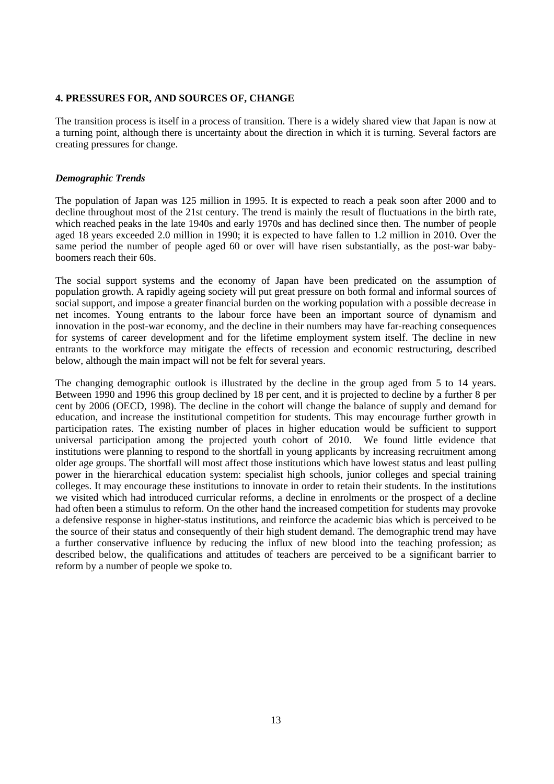## **4. PRESSURES FOR, AND SOURCES OF, CHANGE**

The transition process is itself in a process of transition. There is a widely shared view that Japan is now at a turning point, although there is uncertainty about the direction in which it is turning. Several factors are creating pressures for change.

## *Demographic Trends*

The population of Japan was 125 million in 1995. It is expected to reach a peak soon after 2000 and to decline throughout most of the 21st century. The trend is mainly the result of fluctuations in the birth rate, which reached peaks in the late 1940s and early 1970s and has declined since then. The number of people aged 18 years exceeded 2.0 million in 1990; it is expected to have fallen to 1.2 million in 2010. Over the same period the number of people aged 60 or over will have risen substantially, as the post-war babyboomers reach their 60s.

The social support systems and the economy of Japan have been predicated on the assumption of population growth. A rapidly ageing society will put great pressure on both formal and informal sources of social support, and impose a greater financial burden on the working population with a possible decrease in net incomes. Young entrants to the labour force have been an important source of dynamism and innovation in the post-war economy, and the decline in their numbers may have far-reaching consequences for systems of career development and for the lifetime employment system itself. The decline in new entrants to the workforce may mitigate the effects of recession and economic restructuring, described below, although the main impact will not be felt for several years.

The changing demographic outlook is illustrated by the decline in the group aged from 5 to 14 years. Between 1990 and 1996 this group declined by 18 per cent, and it is projected to decline by a further 8 per cent by 2006 (OECD, 1998). The decline in the cohort will change the balance of supply and demand for education, and increase the institutional competition for students. This may encourage further growth in participation rates. The existing number of places in higher education would be sufficient to support universal participation among the projected youth cohort of 2010. We found little evidence that institutions were planning to respond to the shortfall in young applicants by increasing recruitment among older age groups. The shortfall will most affect those institutions which have lowest status and least pulling power in the hierarchical education system: specialist high schools, junior colleges and special training colleges. It may encourage these institutions to innovate in order to retain their students. In the institutions we visited which had introduced curricular reforms, a decline in enrolments or the prospect of a decline had often been a stimulus to reform. On the other hand the increased competition for students may provoke a defensive response in higher-status institutions, and reinforce the academic bias which is perceived to be the source of their status and consequently of their high student demand. The demographic trend may have a further conservative influence by reducing the influx of new blood into the teaching profession; as described below, the qualifications and attitudes of teachers are perceived to be a significant barrier to reform by a number of people we spoke to.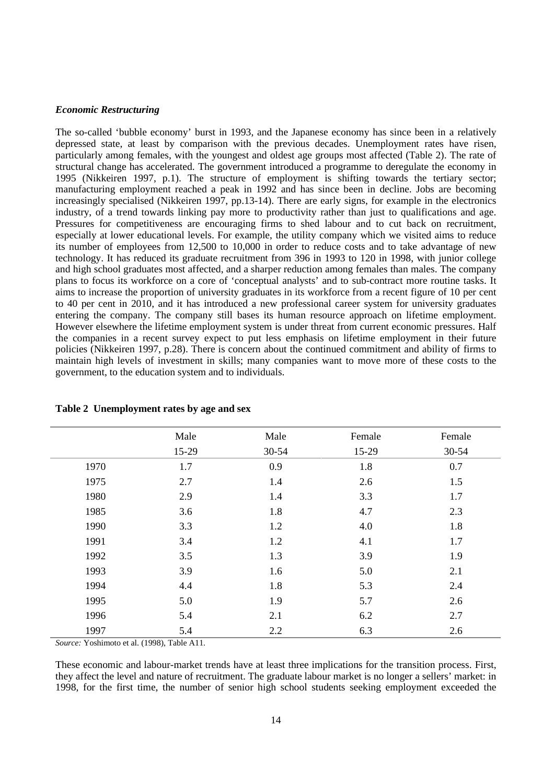## *Economic Restructuring*

The so-called 'bubble economy' burst in 1993, and the Japanese economy has since been in a relatively depressed state, at least by comparison with the previous decades. Unemployment rates have risen, particularly among females, with the youngest and oldest age groups most affected (Table 2). The rate of structural change has accelerated. The government introduced a programme to deregulate the economy in 1995 (Nikkeiren 1997, p.1). The structure of employment is shifting towards the tertiary sector; manufacturing employment reached a peak in 1992 and has since been in decline. Jobs are becoming increasingly specialised (Nikkeiren 1997, pp.13-14). There are early signs, for example in the electronics industry, of a trend towards linking pay more to productivity rather than just to qualifications and age. Pressures for competitiveness are encouraging firms to shed labour and to cut back on recruitment, especially at lower educational levels. For example, the utility company which we visited aims to reduce its number of employees from 12,500 to 10,000 in order to reduce costs and to take advantage of new technology. It has reduced its graduate recruitment from 396 in 1993 to 120 in 1998, with junior college and high school graduates most affected, and a sharper reduction among females than males. The company plans to focus its workforce on a core of 'conceptual analysts' and to sub-contract more routine tasks. It aims to increase the proportion of university graduates in its workforce from a recent figure of 10 per cent to 40 per cent in 2010, and it has introduced a new professional career system for university graduates entering the company. The company still bases its human resource approach on lifetime employment. However elsewhere the lifetime employment system is under threat from current economic pressures. Half the companies in a recent survey expect to put less emphasis on lifetime employment in their future policies (Nikkeiren 1997, p.28). There is concern about the continued commitment and ability of firms to maintain high levels of investment in skills; many companies want to move more of these costs to the government, to the education system and to individuals.

|      | Male  | Male  | Female | Female    |
|------|-------|-------|--------|-----------|
|      | 15-29 | 30-54 | 15-29  | $30 - 54$ |
| 1970 | 1.7   | 0.9   | 1.8    | 0.7       |
| 1975 | 2.7   | 1.4   | 2.6    | 1.5       |
| 1980 | 2.9   | 1.4   | 3.3    | 1.7       |
| 1985 | 3.6   | 1.8   | 4.7    | 2.3       |
| 1990 | 3.3   | 1.2   | 4.0    | 1.8       |
| 1991 | 3.4   | 1.2   | 4.1    | 1.7       |
| 1992 | 3.5   | 1.3   | 3.9    | 1.9       |
| 1993 | 3.9   | 1.6   | 5.0    | 2.1       |
| 1994 | 4.4   | 1.8   | 5.3    | 2.4       |
| 1995 | 5.0   | 1.9   | 5.7    | 2.6       |
| 1996 | 5.4   | 2.1   | 6.2    | 2.7       |
| 1997 | 5.4   | 2.2   | 6.3    | 2.6       |

#### **Table 2 Unemployment rates by age and sex**

*Source:* Yoshimoto et al. (1998), Table A11.

These economic and labour-market trends have at least three implications for the transition process. First, they affect the level and nature of recruitment. The graduate labour market is no longer a sellers' market: in 1998, for the first time, the number of senior high school students seeking employment exceeded the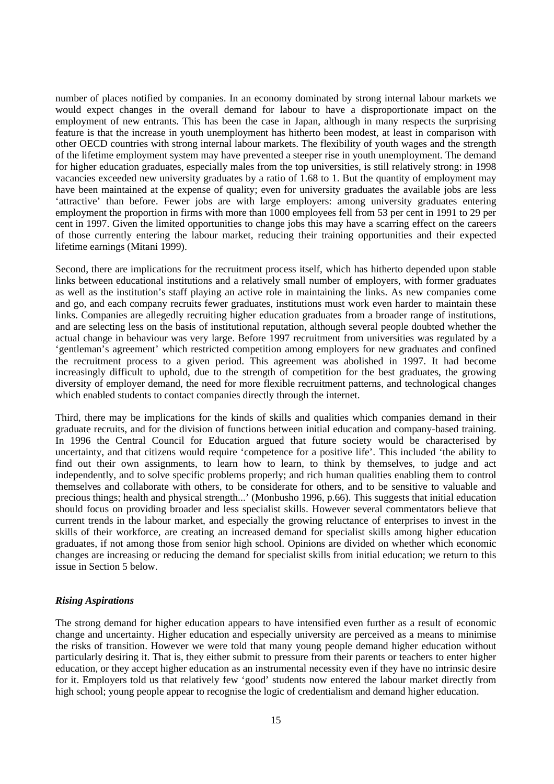number of places notified by companies. In an economy dominated by strong internal labour markets we would expect changes in the overall demand for labour to have a disproportionate impact on the employment of new entrants. This has been the case in Japan, although in many respects the surprising feature is that the increase in youth unemployment has hitherto been modest, at least in comparison with other OECD countries with strong internal labour markets. The flexibility of youth wages and the strength of the lifetime employment system may have prevented a steeper rise in youth unemployment. The demand for higher education graduates, especially males from the top universities, is still relatively strong: in 1998 vacancies exceeded new university graduates by a ratio of 1.68 to 1. But the quantity of employment may have been maintained at the expense of quality; even for university graduates the available jobs are less 'attractive' than before. Fewer jobs are with large employers: among university graduates entering employment the proportion in firms with more than 1000 employees fell from 53 per cent in 1991 to 29 per cent in 1997. Given the limited opportunities to change jobs this may have a scarring effect on the careers of those currently entering the labour market, reducing their training opportunities and their expected lifetime earnings (Mitani 1999).

Second, there are implications for the recruitment process itself, which has hitherto depended upon stable links between educational institutions and a relatively small number of employers, with former graduates as well as the institution's staff playing an active role in maintaining the links. As new companies come and go, and each company recruits fewer graduates, institutions must work even harder to maintain these links. Companies are allegedly recruiting higher education graduates from a broader range of institutions, and are selecting less on the basis of institutional reputation, although several people doubted whether the actual change in behaviour was very large. Before 1997 recruitment from universities was regulated by a 'gentleman's agreement' which restricted competition among employers for new graduates and confined the recruitment process to a given period. This agreement was abolished in 1997. It had become increasingly difficult to uphold, due to the strength of competition for the best graduates, the growing diversity of employer demand, the need for more flexible recruitment patterns, and technological changes which enabled students to contact companies directly through the internet.

Third, there may be implications for the kinds of skills and qualities which companies demand in their graduate recruits, and for the division of functions between initial education and company-based training. In 1996 the Central Council for Education argued that future society would be characterised by uncertainty, and that citizens would require 'competence for a positive life'. This included 'the ability to find out their own assignments, to learn how to learn, to think by themselves, to judge and act independently, and to solve specific problems properly; and rich human qualities enabling them to control themselves and collaborate with others, to be considerate for others, and to be sensitive to valuable and precious things; health and physical strength...' (Monbusho 1996, p.66). This suggests that initial education should focus on providing broader and less specialist skills. However several commentators believe that current trends in the labour market, and especially the growing reluctance of enterprises to invest in the skills of their workforce, are creating an increased demand for specialist skills among higher education graduates, if not among those from senior high school. Opinions are divided on whether which economic changes are increasing or reducing the demand for specialist skills from initial education; we return to this issue in Section 5 below.

## *Rising Aspirations*

The strong demand for higher education appears to have intensified even further as a result of economic change and uncertainty. Higher education and especially university are perceived as a means to minimise the risks of transition. However we were told that many young people demand higher education without particularly desiring it. That is, they either submit to pressure from their parents or teachers to enter higher education, or they accept higher education as an instrumental necessity even if they have no intrinsic desire for it. Employers told us that relatively few 'good' students now entered the labour market directly from high school; young people appear to recognise the logic of credentialism and demand higher education.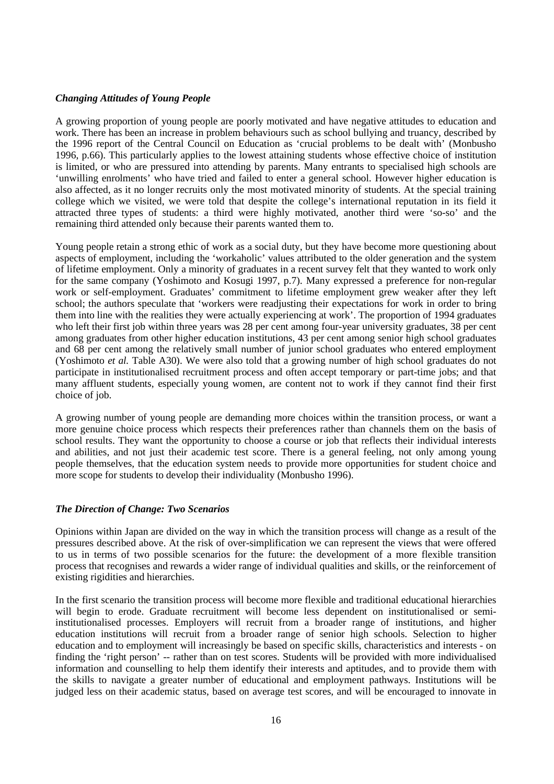## *Changing Attitudes of Young People*

A growing proportion of young people are poorly motivated and have negative attitudes to education and work. There has been an increase in problem behaviours such as school bullying and truancy, described by the 1996 report of the Central Council on Education as 'crucial problems to be dealt with' (Monbusho 1996, p.66). This particularly applies to the lowest attaining students whose effective choice of institution is limited, or who are pressured into attending by parents. Many entrants to specialised high schools are 'unwilling enrolments' who have tried and failed to enter a general school. However higher education is also affected, as it no longer recruits only the most motivated minority of students. At the special training college which we visited, we were told that despite the college's international reputation in its field it attracted three types of students: a third were highly motivated, another third were 'so-so' and the remaining third attended only because their parents wanted them to.

Young people retain a strong ethic of work as a social duty, but they have become more questioning about aspects of employment, including the 'workaholic' values attributed to the older generation and the system of lifetime employment. Only a minority of graduates in a recent survey felt that they wanted to work only for the same company (Yoshimoto and Kosugi 1997, p.7). Many expressed a preference for non-regular work or self-employment. Graduates' commitment to lifetime employment grew weaker after they left school; the authors speculate that 'workers were readjusting their expectations for work in order to bring them into line with the realities they were actually experiencing at work'. The proportion of 1994 graduates who left their first job within three years was 28 per cent among four-year university graduates, 38 per cent among graduates from other higher education institutions, 43 per cent among senior high school graduates and 68 per cent among the relatively small number of junior school graduates who entered employment (Yoshimoto *et al.* Table A30). We were also told that a growing number of high school graduates do not participate in institutionalised recruitment process and often accept temporary or part-time jobs; and that many affluent students, especially young women, are content not to work if they cannot find their first choice of job.

A growing number of young people are demanding more choices within the transition process, or want a more genuine choice process which respects their preferences rather than channels them on the basis of school results. They want the opportunity to choose a course or job that reflects their individual interests and abilities, and not just their academic test score. There is a general feeling, not only among young people themselves, that the education system needs to provide more opportunities for student choice and more scope for students to develop their individuality (Monbusho 1996).

## *The Direction of Change: Two Scenarios*

Opinions within Japan are divided on the way in which the transition process will change as a result of the pressures described above. At the risk of over-simplification we can represent the views that were offered to us in terms of two possible scenarios for the future: the development of a more flexible transition process that recognises and rewards a wider range of individual qualities and skills, or the reinforcement of existing rigidities and hierarchies.

In the first scenario the transition process will become more flexible and traditional educational hierarchies will begin to erode. Graduate recruitment will become less dependent on institutionalised or semiinstitutionalised processes. Employers will recruit from a broader range of institutions, and higher education institutions will recruit from a broader range of senior high schools. Selection to higher education and to employment will increasingly be based on specific skills, characteristics and interests - on finding the 'right person' -- rather than on test scores. Students will be provided with more individualised information and counselling to help them identify their interests and aptitudes, and to provide them with the skills to navigate a greater number of educational and employment pathways. Institutions will be judged less on their academic status, based on average test scores, and will be encouraged to innovate in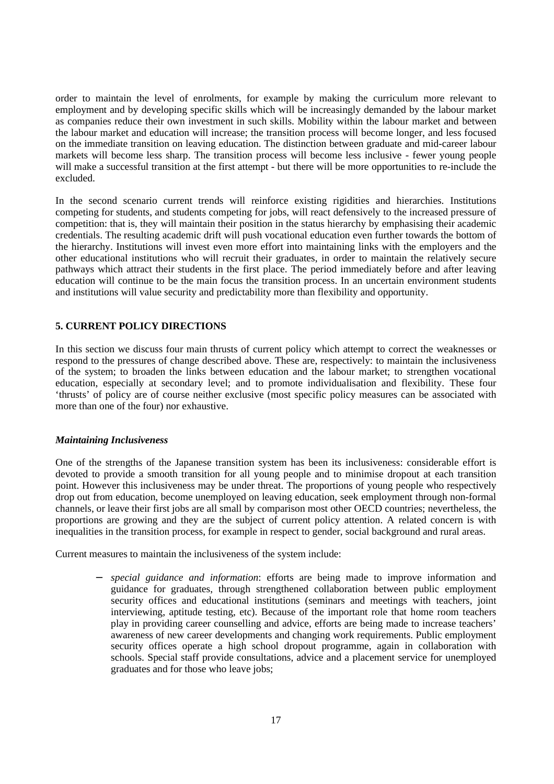order to maintain the level of enrolments, for example by making the curriculum more relevant to employment and by developing specific skills which will be increasingly demanded by the labour market as companies reduce their own investment in such skills. Mobility within the labour market and between the labour market and education will increase; the transition process will become longer, and less focused on the immediate transition on leaving education. The distinction between graduate and mid-career labour markets will become less sharp. The transition process will become less inclusive - fewer young people will make a successful transition at the first attempt - but there will be more opportunities to re-include the excluded.

In the second scenario current trends will reinforce existing rigidities and hierarchies. Institutions competing for students, and students competing for jobs, will react defensively to the increased pressure of competition: that is, they will maintain their position in the status hierarchy by emphasising their academic credentials. The resulting academic drift will push vocational education even further towards the bottom of the hierarchy. Institutions will invest even more effort into maintaining links with the employers and the other educational institutions who will recruit their graduates, in order to maintain the relatively secure pathways which attract their students in the first place. The period immediately before and after leaving education will continue to be the main focus the transition process. In an uncertain environment students and institutions will value security and predictability more than flexibility and opportunity.

# **5. CURRENT POLICY DIRECTIONS**

In this section we discuss four main thrusts of current policy which attempt to correct the weaknesses or respond to the pressures of change described above. These are, respectively: to maintain the inclusiveness of the system; to broaden the links between education and the labour market; to strengthen vocational education, especially at secondary level; and to promote individualisation and flexibility. These four 'thrusts' of policy are of course neither exclusive (most specific policy measures can be associated with more than one of the four) nor exhaustive.

## *Maintaining Inclusiveness*

One of the strengths of the Japanese transition system has been its inclusiveness: considerable effort is devoted to provide a smooth transition for all young people and to minimise dropout at each transition point. However this inclusiveness may be under threat. The proportions of young people who respectively drop out from education, become unemployed on leaving education, seek employment through non-formal channels, or leave their first jobs are all small by comparison most other OECD countries; nevertheless, the proportions are growing and they are the subject of current policy attention. A related concern is with inequalities in the transition process, for example in respect to gender, social background and rural areas.

Current measures to maintain the inclusiveness of the system include:

− *special guidance and information*: efforts are being made to improve information and guidance for graduates, through strengthened collaboration between public employment security offices and educational institutions (seminars and meetings with teachers, joint interviewing, aptitude testing, etc). Because of the important role that home room teachers play in providing career counselling and advice, efforts are being made to increase teachers' awareness of new career developments and changing work requirements. Public employment security offices operate a high school dropout programme, again in collaboration with schools. Special staff provide consultations, advice and a placement service for unemployed graduates and for those who leave jobs;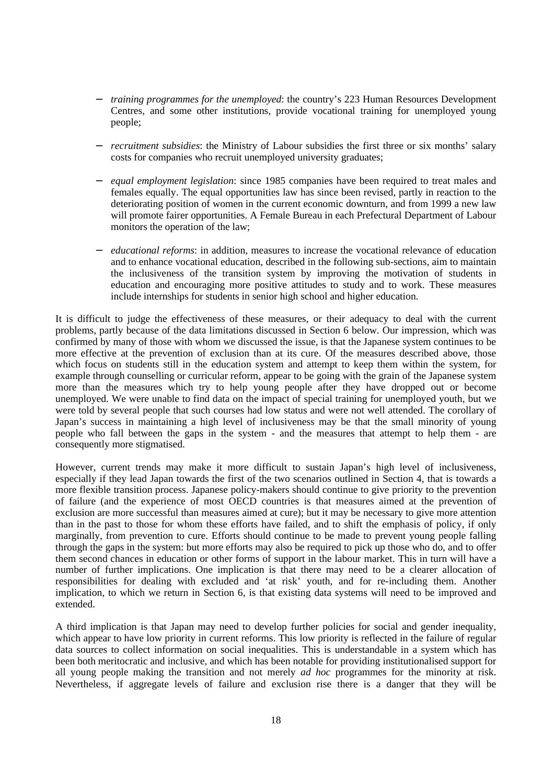- *training programmes for the unemployed*: the country's 223 Human Resources Development Centres, and some other institutions, provide vocational training for unemployed young people;
- *recruitment subsidies*: the Ministry of Labour subsidies the first three or six months' salary costs for companies who recruit unemployed university graduates;
- − *equal employment legislation*: since 1985 companies have been required to treat males and females equally. The equal opportunities law has since been revised, partly in reaction to the deteriorating position of women in the current economic downturn, and from 1999 a new law will promote fairer opportunities. A Female Bureau in each Prefectural Department of Labour monitors the operation of the law;
- − *educational reforms*: in addition, measures to increase the vocational relevance of education and to enhance vocational education, described in the following sub-sections, aim to maintain the inclusiveness of the transition system by improving the motivation of students in education and encouraging more positive attitudes to study and to work. These measures include internships for students in senior high school and higher education.

It is difficult to judge the effectiveness of these measures, or their adequacy to deal with the current problems, partly because of the data limitations discussed in Section 6 below. Our impression, which was confirmed by many of those with whom we discussed the issue, is that the Japanese system continues to be more effective at the prevention of exclusion than at its cure. Of the measures described above, those which focus on students still in the education system and attempt to keep them within the system, for example through counselling or curricular reform, appear to be going with the grain of the Japanese system more than the measures which try to help young people after they have dropped out or become unemployed. We were unable to find data on the impact of special training for unemployed youth, but we were told by several people that such courses had low status and were not well attended. The corollary of Japan's success in maintaining a high level of inclusiveness may be that the small minority of young people who fall between the gaps in the system - and the measures that attempt to help them - are consequently more stigmatised.

However, current trends may make it more difficult to sustain Japan's high level of inclusiveness, especially if they lead Japan towards the first of the two scenarios outlined in Section 4, that is towards a more flexible transition process. Japanese policy-makers should continue to give priority to the prevention of failure (and the experience of most OECD countries is that measures aimed at the prevention of exclusion are more successful than measures aimed at cure); but it may be necessary to give more attention than in the past to those for whom these efforts have failed, and to shift the emphasis of policy, if only marginally, from prevention to cure. Efforts should continue to be made to prevent young people falling through the gaps in the system: but more efforts may also be required to pick up those who do, and to offer them second chances in education or other forms of support in the labour market. This in turn will have a number of further implications. One implication is that there may need to be a clearer allocation of responsibilities for dealing with excluded and 'at risk' youth, and for re-including them. Another implication, to which we return in Section 6, is that existing data systems will need to be improved and extended.

A third implication is that Japan may need to develop further policies for social and gender inequality, which appear to have low priority in current reforms. This low priority is reflected in the failure of regular data sources to collect information on social inequalities. This is understandable in a system which has been both meritocratic and inclusive, and which has been notable for providing institutionalised support for all young people making the transition and not merely *ad hoc* programmes for the minority at risk. Nevertheless, if aggregate levels of failure and exclusion rise there is a danger that they will be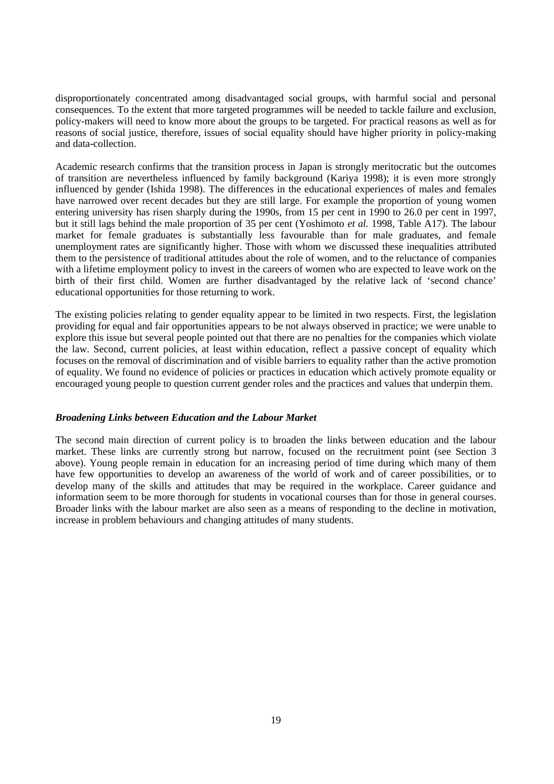disproportionately concentrated among disadvantaged social groups, with harmful social and personal consequences. To the extent that more targeted programmes will be needed to tackle failure and exclusion, policy-makers will need to know more about the groups to be targeted. For practical reasons as well as for reasons of social justice, therefore, issues of social equality should have higher priority in policy-making and data-collection.

Academic research confirms that the transition process in Japan is strongly meritocratic but the outcomes of transition are nevertheless influenced by family background (Kariya 1998); it is even more strongly influenced by gender (Ishida 1998). The differences in the educational experiences of males and females have narrowed over recent decades but they are still large. For example the proportion of young women entering university has risen sharply during the 1990s, from 15 per cent in 1990 to 26.0 per cent in 1997, but it still lags behind the male proportion of 35 per cent (Yoshimoto *et al.* 1998, Table A17). The labour market for female graduates is substantially less favourable than for male graduates, and female unemployment rates are significantly higher. Those with whom we discussed these inequalities attributed them to the persistence of traditional attitudes about the role of women, and to the reluctance of companies with a lifetime employment policy to invest in the careers of women who are expected to leave work on the birth of their first child. Women are further disadvantaged by the relative lack of 'second chance' educational opportunities for those returning to work.

The existing policies relating to gender equality appear to be limited in two respects. First, the legislation providing for equal and fair opportunities appears to be not always observed in practice; we were unable to explore this issue but several people pointed out that there are no penalties for the companies which violate the law. Second, current policies, at least within education, reflect a passive concept of equality which focuses on the removal of discrimination and of visible barriers to equality rather than the active promotion of equality. We found no evidence of policies or practices in education which actively promote equality or encouraged young people to question current gender roles and the practices and values that underpin them.

## *Broadening Links between Education and the Labour Market*

The second main direction of current policy is to broaden the links between education and the labour market. These links are currently strong but narrow, focused on the recruitment point (see Section 3 above). Young people remain in education for an increasing period of time during which many of them have few opportunities to develop an awareness of the world of work and of career possibilities, or to develop many of the skills and attitudes that may be required in the workplace. Career guidance and information seem to be more thorough for students in vocational courses than for those in general courses. Broader links with the labour market are also seen as a means of responding to the decline in motivation, increase in problem behaviours and changing attitudes of many students.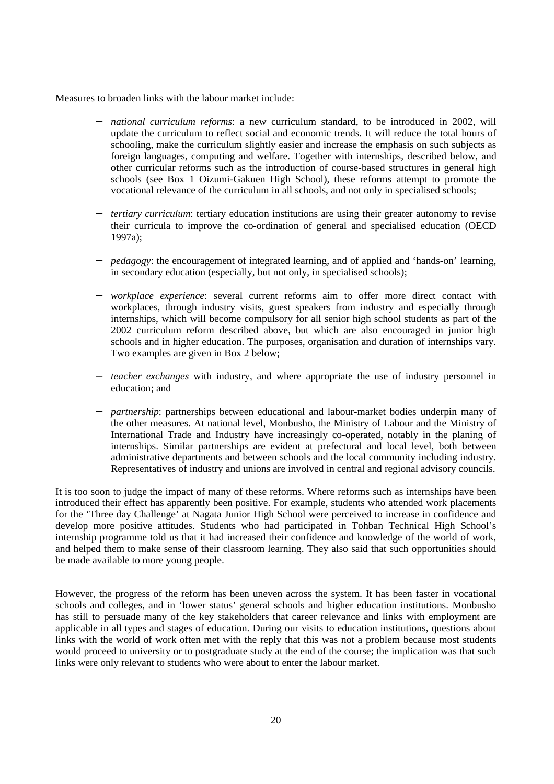Measures to broaden links with the labour market include:

- *national curriculum reforms*: a new curriculum standard, to be introduced in 2002, will update the curriculum to reflect social and economic trends. It will reduce the total hours of schooling, make the curriculum slightly easier and increase the emphasis on such subjects as foreign languages, computing and welfare. Together with internships, described below, and other curricular reforms such as the introduction of course-based structures in general high schools (see Box 1 Oizumi-Gakuen High School), these reforms attempt to promote the vocational relevance of the curriculum in all schools, and not only in specialised schools;
- *tertiary curriculum*: tertiary education institutions are using their greater autonomy to revise their curricula to improve the co-ordination of general and specialised education (OECD 1997a);
- − *pedagogy*: the encouragement of integrated learning, and of applied and 'hands-on' learning, in secondary education (especially, but not only, in specialised schools);
- − *workplace experience*: several current reforms aim to offer more direct contact with workplaces, through industry visits, guest speakers from industry and especially through internships, which will become compulsory for all senior high school students as part of the 2002 curriculum reform described above, but which are also encouraged in junior high schools and in higher education. The purposes, organisation and duration of internships vary. Two examples are given in Box 2 below;
- − *teacher exchanges* with industry, and where appropriate the use of industry personnel in education; and
- − *partnership*: partnerships between educational and labour-market bodies underpin many of the other measures. At national level, Monbusho, the Ministry of Labour and the Ministry of International Trade and Industry have increasingly co-operated, notably in the planing of internships. Similar partnerships are evident at prefectural and local level, both between administrative departments and between schools and the local community including industry. Representatives of industry and unions are involved in central and regional advisory councils.

It is too soon to judge the impact of many of these reforms. Where reforms such as internships have been introduced their effect has apparently been positive. For example, students who attended work placements for the 'Three day Challenge' at Nagata Junior High School were perceived to increase in confidence and develop more positive attitudes. Students who had participated in Tohban Technical High School's internship programme told us that it had increased their confidence and knowledge of the world of work, and helped them to make sense of their classroom learning. They also said that such opportunities should be made available to more young people.

However, the progress of the reform has been uneven across the system. It has been faster in vocational schools and colleges, and in 'lower status' general schools and higher education institutions. Monbusho has still to persuade many of the key stakeholders that career relevance and links with employment are applicable in all types and stages of education. During our visits to education institutions, questions about links with the world of work often met with the reply that this was not a problem because most students would proceed to university or to postgraduate study at the end of the course; the implication was that such links were only relevant to students who were about to enter the labour market.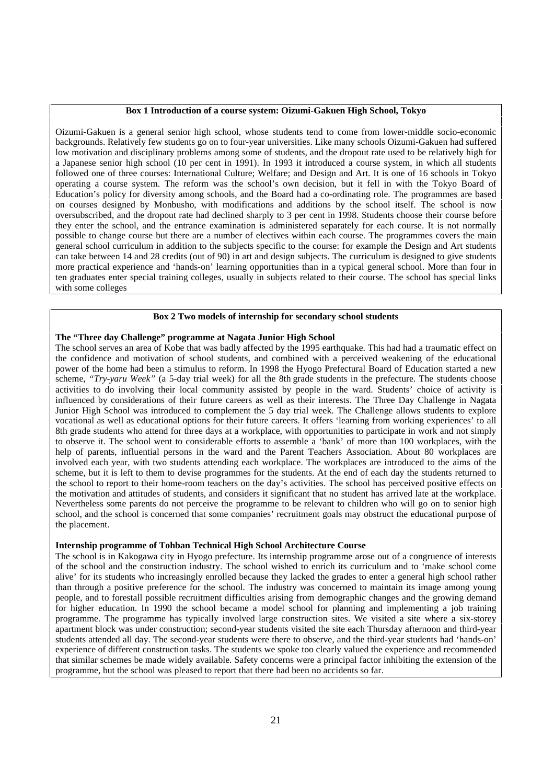#### **Box 1 Introduction of a course system: Oizumi-Gakuen High School, Tokyo**

Oizumi-Gakuen is a general senior high school, whose students tend to come from lower-middle socio-economic backgrounds. Relatively few students go on to four-year universities. Like many schools Oizumi-Gakuen had suffered low motivation and disciplinary problems among some of students, and the dropout rate used to be relatively high for a Japanese senior high school (10 per cent in 1991). In 1993 it introduced a course system, in which all students followed one of three courses: International Culture; Welfare; and Design and Art. It is one of 16 schools in Tokyo operating a course system. The reform was the school's own decision, but it fell in with the Tokyo Board of Education's policy for diversity among schools, and the Board had a co-ordinating role. The programmes are based on courses designed by Monbusho, with modifications and additions by the school itself. The school is now oversubscribed, and the dropout rate had declined sharply to 3 per cent in 1998. Students choose their course before they enter the school, and the entrance examination is administered separately for each course. It is not normally possible to change course but there are a number of electives within each course. The programmes covers the main general school curriculum in addition to the subjects specific to the course: for example the Design and Art students can take between 14 and 28 credits (out of 90) in art and design subjects. The curriculum is designed to give students more practical experience and 'hands-on' learning opportunities than in a typical general school. More than four in ten graduates enter special training colleges, usually in subjects related to their course. The school has special links with some colleges

#### **Box 2 Two models of internship for secondary school students**

#### **The "Three day Challenge" programme at Nagata Junior High School**

The school serves an area of Kobe that was badly affected by the 1995 earthquake. This had had a traumatic effect on the confidence and motivation of school students, and combined with a perceived weakening of the educational power of the home had been a stimulus to reform. In 1998 the Hyogo Prefectural Board of Education started a new scheme, *"Try-yaru Week"* (a 5-day trial week) for all the 8th grade students in the prefecture. The students choose activities to do involving their local community assisted by people in the ward. Students' choice of activity is influenced by considerations of their future careers as well as their interests. The Three Day Challenge in Nagata Junior High School was introduced to complement the 5 day trial week. The Challenge allows students to explore vocational as well as educational options for their future careers. It offers 'learning from working experiences' to all 8th grade students who attend for three days at a workplace, with opportunities to participate in work and not simply to observe it. The school went to considerable efforts to assemble a 'bank' of more than 100 workplaces, with the help of parents, influential persons in the ward and the Parent Teachers Association. About 80 workplaces are involved each year, with two students attending each workplace. The workplaces are introduced to the aims of the scheme, but it is left to them to devise programmes for the students. At the end of each day the students returned to the school to report to their home-room teachers on the day's activities. The school has perceived positive effects on the motivation and attitudes of students, and considers it significant that no student has arrived late at the workplace. Nevertheless some parents do not perceive the programme to be relevant to children who will go on to senior high school, and the school is concerned that some companies' recruitment goals may obstruct the educational purpose of the placement.

#### **Internship programme of Tohban Technical High School Architecture Course**

The school is in Kakogawa city in Hyogo prefecture. Its internship programme arose out of a congruence of interests of the school and the construction industry. The school wished to enrich its curriculum and to 'make school come alive' for its students who increasingly enrolled because they lacked the grades to enter a general high school rather than through a positive preference for the school. The industry was concerned to maintain its image among young people, and to forestall possible recruitment difficulties arising from demographic changes and the growing demand for higher education. In 1990 the school became a model school for planning and implementing a job training programme. The programme has typically involved large construction sites. We visited a site where a six-storey apartment block was under construction; second-year students visited the site each Thursday afternoon and third-year students attended all day. The second-year students were there to observe, and the third-year students had 'hands-on' experience of different construction tasks. The students we spoke too clearly valued the experience and recommended that similar schemes be made widely available. Safety concerns were a principal factor inhibiting the extension of the programme, but the school was pleased to report that there had been no accidents so far.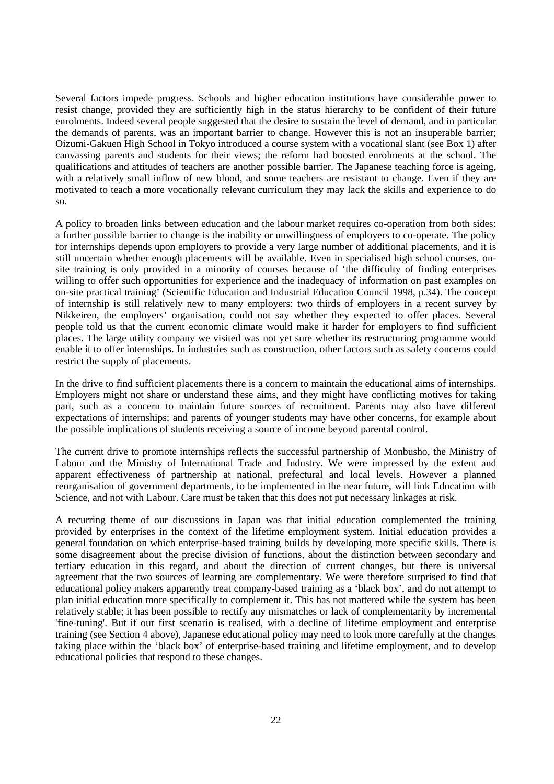Several factors impede progress. Schools and higher education institutions have considerable power to resist change, provided they are sufficiently high in the status hierarchy to be confident of their future enrolments. Indeed several people suggested that the desire to sustain the level of demand, and in particular the demands of parents, was an important barrier to change. However this is not an insuperable barrier; Oizumi-Gakuen High School in Tokyo introduced a course system with a vocational slant (see Box 1) after canvassing parents and students for their views; the reform had boosted enrolments at the school. The qualifications and attitudes of teachers are another possible barrier. The Japanese teaching force is ageing, with a relatively small inflow of new blood, and some teachers are resistant to change. Even if they are motivated to teach a more vocationally relevant curriculum they may lack the skills and experience to do so.

A policy to broaden links between education and the labour market requires co-operation from both sides: a further possible barrier to change is the inability or unwillingness of employers to co-operate. The policy for internships depends upon employers to provide a very large number of additional placements, and it is still uncertain whether enough placements will be available. Even in specialised high school courses, onsite training is only provided in a minority of courses because of 'the difficulty of finding enterprises willing to offer such opportunities for experience and the inadequacy of information on past examples on on-site practical training' (Scientific Education and Industrial Education Council 1998, p.34). The concept of internship is still relatively new to many employers: two thirds of employers in a recent survey by Nikkeiren, the employers' organisation, could not say whether they expected to offer places. Several people told us that the current economic climate would make it harder for employers to find sufficient places. The large utility company we visited was not yet sure whether its restructuring programme would enable it to offer internships. In industries such as construction, other factors such as safety concerns could restrict the supply of placements.

In the drive to find sufficient placements there is a concern to maintain the educational aims of internships. Employers might not share or understand these aims, and they might have conflicting motives for taking part, such as a concern to maintain future sources of recruitment. Parents may also have different expectations of internships; and parents of younger students may have other concerns, for example about the possible implications of students receiving a source of income beyond parental control.

The current drive to promote internships reflects the successful partnership of Monbusho, the Ministry of Labour and the Ministry of International Trade and Industry. We were impressed by the extent and apparent effectiveness of partnership at national, prefectural and local levels. However a planned reorganisation of government departments, to be implemented in the near future, will link Education with Science, and not with Labour. Care must be taken that this does not put necessary linkages at risk.

A recurring theme of our discussions in Japan was that initial education complemented the training provided by enterprises in the context of the lifetime employment system. Initial education provides a general foundation on which enterprise-based training builds by developing more specific skills. There is some disagreement about the precise division of functions, about the distinction between secondary and tertiary education in this regard, and about the direction of current changes, but there is universal agreement that the two sources of learning are complementary. We were therefore surprised to find that educational policy makers apparently treat company-based training as a 'black box', and do not attempt to plan initial education more specifically to complement it. This has not mattered while the system has been relatively stable; it has been possible to rectify any mismatches or lack of complementarity by incremental 'fine-tuning'. But if our first scenario is realised, with a decline of lifetime employment and enterprise training (see Section 4 above), Japanese educational policy may need to look more carefully at the changes taking place within the 'black box' of enterprise-based training and lifetime employment, and to develop educational policies that respond to these changes.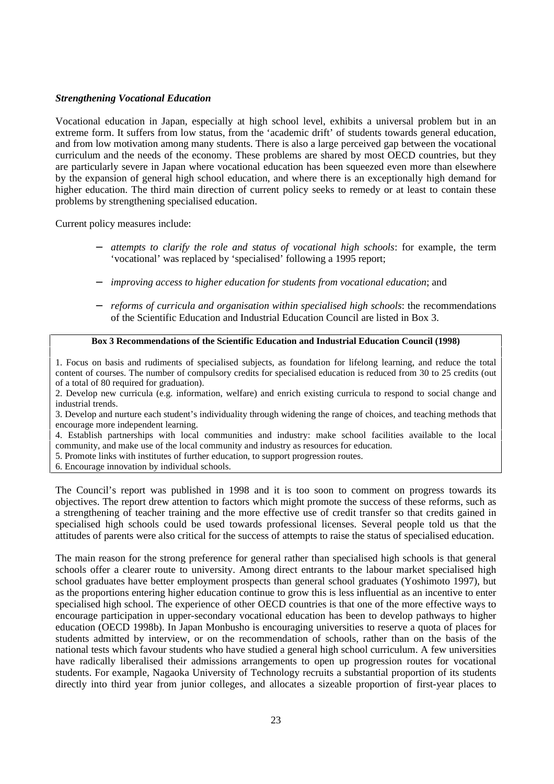## *Strengthening Vocational Education*

Vocational education in Japan, especially at high school level, exhibits a universal problem but in an extreme form. It suffers from low status, from the 'academic drift' of students towards general education, and from low motivation among many students. There is also a large perceived gap between the vocational curriculum and the needs of the economy. These problems are shared by most OECD countries, but they are particularly severe in Japan where vocational education has been squeezed even more than elsewhere by the expansion of general high school education, and where there is an exceptionally high demand for higher education. The third main direction of current policy seeks to remedy or at least to contain these problems by strengthening specialised education.

Current policy measures include:

- − *attempts to clarify the role and status of vocational high schools*: for example, the term 'vocational' was replaced by 'specialised' following a 1995 report;
- − *improving access to higher education for students from vocational education*; and
- − *reforms of curricula and organisation within specialised high schools*: the recommendations of the Scientific Education and Industrial Education Council are listed in Box 3.

## **Box 3 Recommendations of the Scientific Education and Industrial Education Council (1998)**

1. Focus on basis and rudiments of specialised subjects, as foundation for lifelong learning, and reduce the total content of courses. The number of compulsory credits for specialised education is reduced from 30 to 25 credits (out of a total of 80 required for graduation).

2. Develop new curricula (e.g. information, welfare) and enrich existing curricula to respond to social change and industrial trends.

3. Develop and nurture each student's individuality through widening the range of choices, and teaching methods that encourage more independent learning.

4. Establish partnerships with local communities and industry: make school facilities available to the local community, and make use of the local community and industry as resources for education.

5. Promote links with institutes of further education, to support progression routes.

6. Encourage innovation by individual schools.

The Council's report was published in 1998 and it is too soon to comment on progress towards its objectives. The report drew attention to factors which might promote the success of these reforms, such as a strengthening of teacher training and the more effective use of credit transfer so that credits gained in specialised high schools could be used towards professional licenses. Several people told us that the attitudes of parents were also critical for the success of attempts to raise the status of specialised education.

The main reason for the strong preference for general rather than specialised high schools is that general schools offer a clearer route to university. Among direct entrants to the labour market specialised high school graduates have better employment prospects than general school graduates (Yoshimoto 1997), but as the proportions entering higher education continue to grow this is less influential as an incentive to enter specialised high school. The experience of other OECD countries is that one of the more effective ways to encourage participation in upper-secondary vocational education has been to develop pathways to higher education (OECD 1998b). In Japan Monbusho is encouraging universities to reserve a quota of places for students admitted by interview, or on the recommendation of schools, rather than on the basis of the national tests which favour students who have studied a general high school curriculum. A few universities have radically liberalised their admissions arrangements to open up progression routes for vocational students. For example, Nagaoka University of Technology recruits a substantial proportion of its students directly into third year from junior colleges, and allocates a sizeable proportion of first-year places to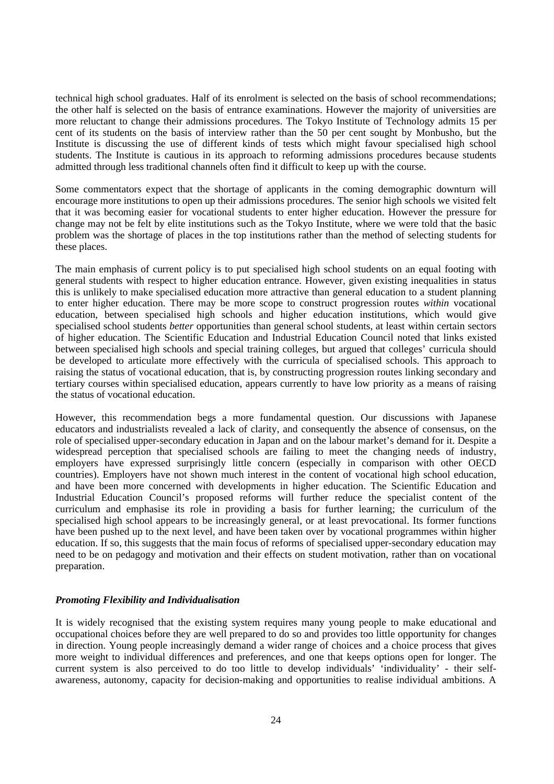technical high school graduates. Half of its enrolment is selected on the basis of school recommendations; the other half is selected on the basis of entrance examinations. However the majority of universities are more reluctant to change their admissions procedures. The Tokyo Institute of Technology admits 15 per cent of its students on the basis of interview rather than the 50 per cent sought by Monbusho, but the Institute is discussing the use of different kinds of tests which might favour specialised high school students. The Institute is cautious in its approach to reforming admissions procedures because students admitted through less traditional channels often find it difficult to keep up with the course.

Some commentators expect that the shortage of applicants in the coming demographic downturn will encourage more institutions to open up their admissions procedures. The senior high schools we visited felt that it was becoming easier for vocational students to enter higher education. However the pressure for change may not be felt by elite institutions such as the Tokyo Institute, where we were told that the basic problem was the shortage of places in the top institutions rather than the method of selecting students for these places.

The main emphasis of current policy is to put specialised high school students on an equal footing with general students with respect to higher education entrance. However, given existing inequalities in status this is unlikely to make specialised education more attractive than general education to a student planning to enter higher education. There may be more scope to construct progression routes *within* vocational education, between specialised high schools and higher education institutions, which would give specialised school students *better* opportunities than general school students, at least within certain sectors of higher education. The Scientific Education and Industrial Education Council noted that links existed between specialised high schools and special training colleges, but argued that colleges' curricula should be developed to articulate more effectively with the curricula of specialised schools. This approach to raising the status of vocational education, that is, by constructing progression routes linking secondary and tertiary courses within specialised education, appears currently to have low priority as a means of raising the status of vocational education.

However, this recommendation begs a more fundamental question. Our discussions with Japanese educators and industrialists revealed a lack of clarity, and consequently the absence of consensus, on the role of specialised upper-secondary education in Japan and on the labour market's demand for it. Despite a widespread perception that specialised schools are failing to meet the changing needs of industry, employers have expressed surprisingly little concern (especially in comparison with other OECD countries). Employers have not shown much interest in the content of vocational high school education, and have been more concerned with developments in higher education. The Scientific Education and Industrial Education Council's proposed reforms will further reduce the specialist content of the curriculum and emphasise its role in providing a basis for further learning; the curriculum of the specialised high school appears to be increasingly general, or at least prevocational. Its former functions have been pushed up to the next level, and have been taken over by vocational programmes within higher education. If so, this suggests that the main focus of reforms of specialised upper-secondary education may need to be on pedagogy and motivation and their effects on student motivation, rather than on vocational preparation.

## *Promoting Flexibility and Individualisation*

It is widely recognised that the existing system requires many young people to make educational and occupational choices before they are well prepared to do so and provides too little opportunity for changes in direction. Young people increasingly demand a wider range of choices and a choice process that gives more weight to individual differences and preferences, and one that keeps options open for longer. The current system is also perceived to do too little to develop individuals' 'individuality' - their selfawareness, autonomy, capacity for decision-making and opportunities to realise individual ambitions. A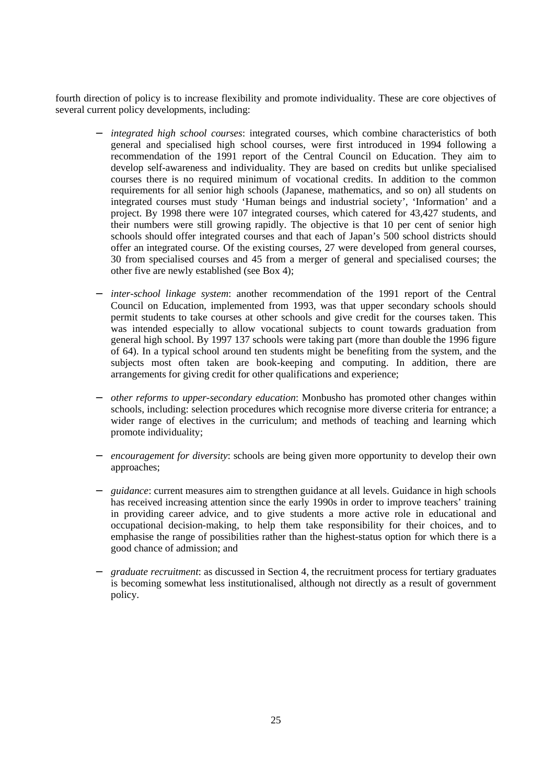fourth direction of policy is to increase flexibility and promote individuality. These are core objectives of several current policy developments, including:

- − *integrated high school courses*: integrated courses, which combine characteristics of both general and specialised high school courses, were first introduced in 1994 following a recommendation of the 1991 report of the Central Council on Education. They aim to develop self-awareness and individuality. They are based on credits but unlike specialised courses there is no required minimum of vocational credits. In addition to the common requirements for all senior high schools (Japanese, mathematics, and so on) all students on integrated courses must study 'Human beings and industrial society', 'Information' and a project. By 1998 there were 107 integrated courses, which catered for 43,427 students, and their numbers were still growing rapidly. The objective is that 10 per cent of senior high schools should offer integrated courses and that each of Japan's 500 school districts should offer an integrated course. Of the existing courses, 27 were developed from general courses, 30 from specialised courses and 45 from a merger of general and specialised courses; the other five are newly established (see Box 4);
- *inter-school linkage system*: another recommendation of the 1991 report of the Central Council on Education, implemented from 1993, was that upper secondary schools should permit students to take courses at other schools and give credit for the courses taken. This was intended especially to allow vocational subjects to count towards graduation from general high school. By 1997 137 schools were taking part (more than double the 1996 figure of 64). In a typical school around ten students might be benefiting from the system, and the subjects most often taken are book-keeping and computing. In addition, there are arrangements for giving credit for other qualifications and experience;
- − *other reforms to upper-secondary education*: Monbusho has promoted other changes within schools, including: selection procedures which recognise more diverse criteria for entrance; a wider range of electives in the curriculum; and methods of teaching and learning which promote individuality;
- − *encouragement for diversity*: schools are being given more opportunity to develop their own approaches;
- *guidance*: current measures aim to strengthen guidance at all levels. Guidance in high schools has received increasing attention since the early 1990s in order to improve teachers' training in providing career advice, and to give students a more active role in educational and occupational decision-making, to help them take responsibility for their choices, and to emphasise the range of possibilities rather than the highest-status option for which there is a good chance of admission; and
- − *graduate recruitment*: as discussed in Section 4, the recruitment process for tertiary graduates is becoming somewhat less institutionalised, although not directly as a result of government policy.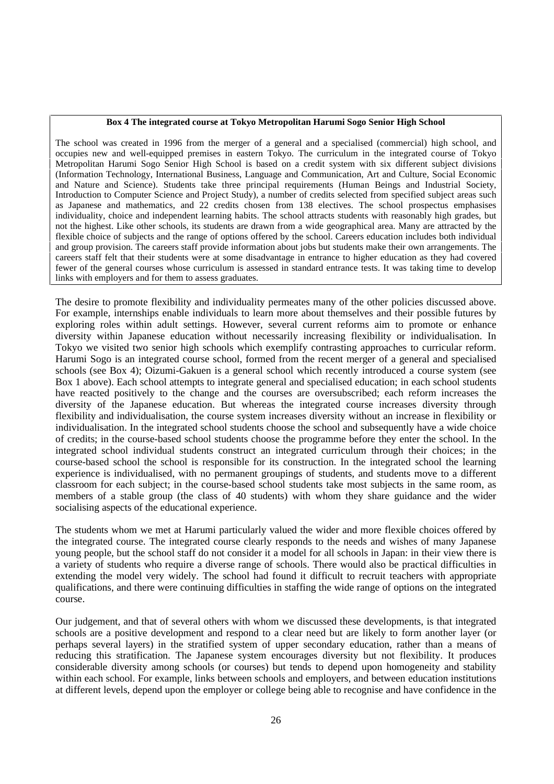#### **Box 4 The integrated course at Tokyo Metropolitan Harumi Sogo Senior High School**

The school was created in 1996 from the merger of a general and a specialised (commercial) high school, and occupies new and well-equipped premises in eastern Tokyo. The curriculum in the integrated course of Tokyo Metropolitan Harumi Sogo Senior High School is based on a credit system with six different subject divisions (Information Technology, International Business, Language and Communication, Art and Culture, Social Economic and Nature and Science). Students take three principal requirements (Human Beings and Industrial Society, Introduction to Computer Science and Project Study), a number of credits selected from specified subject areas such as Japanese and mathematics, and 22 credits chosen from 138 electives. The school prospectus emphasises individuality, choice and independent learning habits. The school attracts students with reasonably high grades, but not the highest. Like other schools, its students are drawn from a wide geographical area. Many are attracted by the flexible choice of subjects and the range of options offered by the school. Careers education includes both individual and group provision. The careers staff provide information about jobs but students make their own arrangements. The careers staff felt that their students were at some disadvantage in entrance to higher education as they had covered fewer of the general courses whose curriculum is assessed in standard entrance tests. It was taking time to develop links with employers and for them to assess graduates.

The desire to promote flexibility and individuality permeates many of the other policies discussed above. For example, internships enable individuals to learn more about themselves and their possible futures by exploring roles within adult settings. However, several current reforms aim to promote or enhance diversity within Japanese education without necessarily increasing flexibility or individualisation. In Tokyo we visited two senior high schools which exemplify contrasting approaches to curricular reform. Harumi Sogo is an integrated course school, formed from the recent merger of a general and specialised schools (see Box 4); Oizumi-Gakuen is a general school which recently introduced a course system (see Box 1 above). Each school attempts to integrate general and specialised education; in each school students have reacted positively to the change and the courses are oversubscribed; each reform increases the diversity of the Japanese education. But whereas the integrated course increases diversity through flexibility and individualisation, the course system increases diversity without an increase in flexibility or individualisation. In the integrated school students choose the school and subsequently have a wide choice of credits; in the course-based school students choose the programme before they enter the school. In the integrated school individual students construct an integrated curriculum through their choices; in the course-based school the school is responsible for its construction. In the integrated school the learning experience is individualised, with no permanent groupings of students, and students move to a different classroom for each subject; in the course-based school students take most subjects in the same room, as members of a stable group (the class of 40 students) with whom they share guidance and the wider socialising aspects of the educational experience.

The students whom we met at Harumi particularly valued the wider and more flexible choices offered by the integrated course. The integrated course clearly responds to the needs and wishes of many Japanese young people, but the school staff do not consider it a model for all schools in Japan: in their view there is a variety of students who require a diverse range of schools. There would also be practical difficulties in extending the model very widely. The school had found it difficult to recruit teachers with appropriate qualifications, and there were continuing difficulties in staffing the wide range of options on the integrated course.

Our judgement, and that of several others with whom we discussed these developments, is that integrated schools are a positive development and respond to a clear need but are likely to form another layer (or perhaps several layers) in the stratified system of upper secondary education, rather than a means of reducing this stratification. The Japanese system encourages diversity but not flexibility. It produces considerable diversity among schools (or courses) but tends to depend upon homogeneity and stability within each school. For example, links between schools and employers, and between education institutions at different levels, depend upon the employer or college being able to recognise and have confidence in the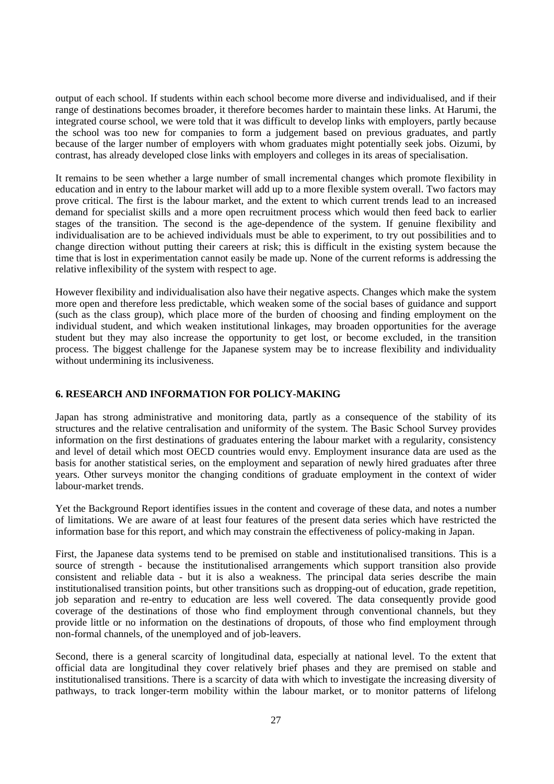output of each school. If students within each school become more diverse and individualised, and if their range of destinations becomes broader, it therefore becomes harder to maintain these links. At Harumi, the integrated course school, we were told that it was difficult to develop links with employers, partly because the school was too new for companies to form a judgement based on previous graduates, and partly because of the larger number of employers with whom graduates might potentially seek jobs. Oizumi, by contrast, has already developed close links with employers and colleges in its areas of specialisation.

It remains to be seen whether a large number of small incremental changes which promote flexibility in education and in entry to the labour market will add up to a more flexible system overall. Two factors may prove critical. The first is the labour market, and the extent to which current trends lead to an increased demand for specialist skills and a more open recruitment process which would then feed back to earlier stages of the transition. The second is the age-dependence of the system. If genuine flexibility and individualisation are to be achieved individuals must be able to experiment, to try out possibilities and to change direction without putting their careers at risk; this is difficult in the existing system because the time that is lost in experimentation cannot easily be made up. None of the current reforms is addressing the relative inflexibility of the system with respect to age.

However flexibility and individualisation also have their negative aspects. Changes which make the system more open and therefore less predictable, which weaken some of the social bases of guidance and support (such as the class group), which place more of the burden of choosing and finding employment on the individual student, and which weaken institutional linkages, may broaden opportunities for the average student but they may also increase the opportunity to get lost, or become excluded, in the transition process. The biggest challenge for the Japanese system may be to increase flexibility and individuality without undermining its inclusiveness.

## **6. RESEARCH AND INFORMATION FOR POLICY-MAKING**

Japan has strong administrative and monitoring data, partly as a consequence of the stability of its structures and the relative centralisation and uniformity of the system. The Basic School Survey provides information on the first destinations of graduates entering the labour market with a regularity, consistency and level of detail which most OECD countries would envy. Employment insurance data are used as the basis for another statistical series, on the employment and separation of newly hired graduates after three years. Other surveys monitor the changing conditions of graduate employment in the context of wider labour-market trends.

Yet the Background Report identifies issues in the content and coverage of these data, and notes a number of limitations. We are aware of at least four features of the present data series which have restricted the information base for this report, and which may constrain the effectiveness of policy-making in Japan.

First, the Japanese data systems tend to be premised on stable and institutionalised transitions. This is a source of strength - because the institutionalised arrangements which support transition also provide consistent and reliable data - but it is also a weakness. The principal data series describe the main institutionalised transition points, but other transitions such as dropping-out of education, grade repetition, job separation and re-entry to education are less well covered. The data consequently provide good coverage of the destinations of those who find employment through conventional channels, but they provide little or no information on the destinations of dropouts, of those who find employment through non-formal channels, of the unemployed and of job-leavers.

Second, there is a general scarcity of longitudinal data, especially at national level. To the extent that official data are longitudinal they cover relatively brief phases and they are premised on stable and institutionalised transitions. There is a scarcity of data with which to investigate the increasing diversity of pathways, to track longer-term mobility within the labour market, or to monitor patterns of lifelong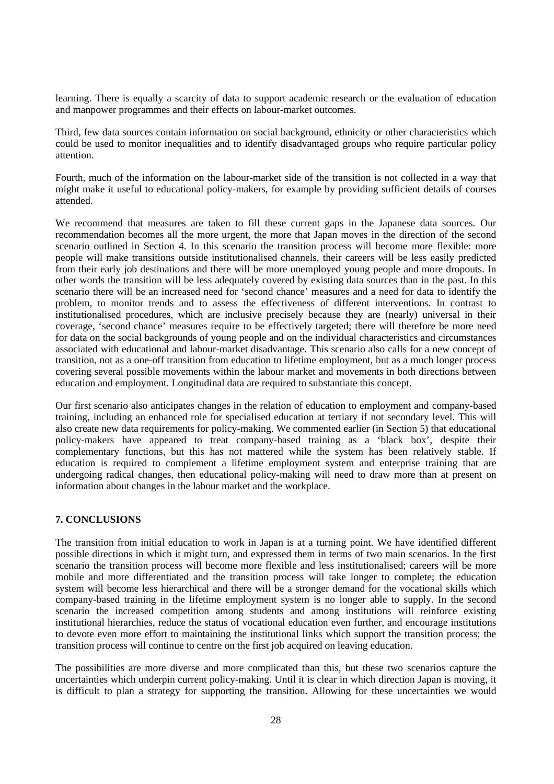learning. There is equally a scarcity of data to support academic research or the evaluation of education and manpower programmes and their effects on labour-market outcomes.

Third, few data sources contain information on social background, ethnicity or other characteristics which could be used to monitor inequalities and to identify disadvantaged groups who require particular policy attention.

Fourth, much of the information on the labour-market side of the transition is not collected in a way that might make it useful to educational policy-makers, for example by providing sufficient details of courses attended.

We recommend that measures are taken to fill these current gaps in the Japanese data sources. Our recommendation becomes all the more urgent, the more that Japan moves in the direction of the second scenario outlined in Section 4. In this scenario the transition process will become more flexible: more people will make transitions outside institutionalised channels, their careers will be less easily predicted from their early job destinations and there will be more unemployed young people and more dropouts. In other words the transition will be less adequately covered by existing data sources than in the past. In this scenario there will be an increased need for 'second chance' measures and a need for data to identify the problem, to monitor trends and to assess the effectiveness of different interventions. In contrast to institutionalised procedures, which are inclusive precisely because they are (nearly) universal in their coverage, 'second chance' measures require to be effectively targeted; there will therefore be more need for data on the social backgrounds of young people and on the individual characteristics and circumstances associated with educational and labour-market disadvantage. This scenario also calls for a new concept of transition, not as a one-off transition from education to lifetime employment, but as a much longer process covering several possible movements within the labour market and movements in both directions between education and employment. Longitudinal data are required to substantiate this concept.

Our first scenario also anticipates changes in the relation of education to employment and company-based training, including an enhanced role for specialised education at tertiary if not secondary level. This will also create new data requirements for policy-making. We commented earlier (in Section 5) that educational policy-makers have appeared to treat company-based training as a 'black box', despite their complementary functions, but this has not mattered while the system has been relatively stable. If education is required to complement a lifetime employment system and enterprise training that are undergoing radical changes, then educational policy-making will need to draw more than at present on information about changes in the labour market and the workplace.

# **7. CONCLUSIONS**

The transition from initial education to work in Japan is at a turning point. We have identified different possible directions in which it might turn, and expressed them in terms of two main scenarios. In the first scenario the transition process will become more flexible and less institutionalised; careers will be more mobile and more differentiated and the transition process will take longer to complete; the education system will become less hierarchical and there will be a stronger demand for the vocational skills which company-based training in the lifetime employment system is no longer able to supply. In the second scenario the increased competition among students and among institutions will reinforce existing institutional hierarchies, reduce the status of vocational education even further, and encourage institutions to devote even more effort to maintaining the institutional links which support the transition process; the transition process will continue to centre on the first job acquired on leaving education.

The possibilities are more diverse and more complicated than this, but these two scenarios capture the uncertainties which underpin current policy-making. Until it is clear in which direction Japan is moving, it is difficult to plan a strategy for supporting the transition. Allowing for these uncertainties we would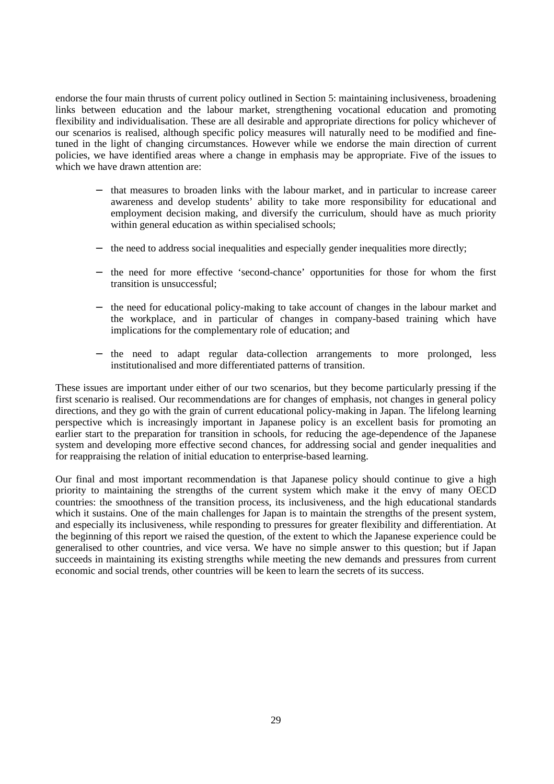endorse the four main thrusts of current policy outlined in Section 5: maintaining inclusiveness, broadening links between education and the labour market, strengthening vocational education and promoting flexibility and individualisation. These are all desirable and appropriate directions for policy whichever of our scenarios is realised, although specific policy measures will naturally need to be modified and finetuned in the light of changing circumstances. However while we endorse the main direction of current policies, we have identified areas where a change in emphasis may be appropriate. Five of the issues to which we have drawn attention are:

- − that measures to broaden links with the labour market, and in particular to increase career awareness and develop students' ability to take more responsibility for educational and employment decision making, and diversify the curriculum, should have as much priority within general education as within specialised schools;
- − the need to address social inequalities and especially gender inequalities more directly;
- − the need for more effective 'second-chance' opportunities for those for whom the first transition is unsuccessful;
- the need for educational policy-making to take account of changes in the labour market and the workplace, and in particular of changes in company-based training which have implications for the complementary role of education; and
- the need to adapt regular data-collection arrangements to more prolonged, less institutionalised and more differentiated patterns of transition.

These issues are important under either of our two scenarios, but they become particularly pressing if the first scenario is realised. Our recommendations are for changes of emphasis, not changes in general policy directions, and they go with the grain of current educational policy-making in Japan. The lifelong learning perspective which is increasingly important in Japanese policy is an excellent basis for promoting an earlier start to the preparation for transition in schools, for reducing the age-dependence of the Japanese system and developing more effective second chances, for addressing social and gender inequalities and for reappraising the relation of initial education to enterprise-based learning.

Our final and most important recommendation is that Japanese policy should continue to give a high priority to maintaining the strengths of the current system which make it the envy of many OECD countries: the smoothness of the transition process, its inclusiveness, and the high educational standards which it sustains. One of the main challenges for Japan is to maintain the strengths of the present system, and especially its inclusiveness, while responding to pressures for greater flexibility and differentiation. At the beginning of this report we raised the question, of the extent to which the Japanese experience could be generalised to other countries, and vice versa. We have no simple answer to this question; but if Japan succeeds in maintaining its existing strengths while meeting the new demands and pressures from current economic and social trends, other countries will be keen to learn the secrets of its success.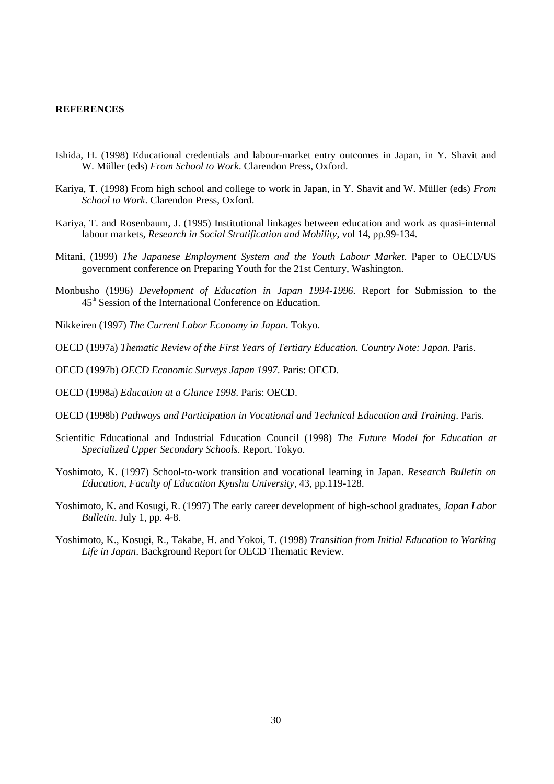#### **REFERENCES**

- Ishida, H. (1998) Educational credentials and labour-market entry outcomes in Japan, in Y. Shavit and W. Müller (eds) *From School to Work*. Clarendon Press, Oxford.
- Kariya, T. (1998) From high school and college to work in Japan, in Y. Shavit and W. Müller (eds) *From School to Work*. Clarendon Press, Oxford.
- Kariya, T. and Rosenbaum, J. (1995) Institutional linkages between education and work as quasi-internal labour markets, *Research in Social Stratification and Mobility*, vol 14, pp.99-134.
- Mitani, (1999) *The Japanese Employment System and the Youth Labour Market*. Paper to OECD/US government conference on Preparing Youth for the 21st Century, Washington.
- Monbusho (1996) *Development of Education in Japan 1994-1996*. Report for Submission to the 45<sup>th</sup> Session of the International Conference on Education.
- Nikkeiren (1997) *The Current Labor Economy in Japan*. Tokyo.
- OECD (1997a) *Thematic Review of the First Years of Tertiary Education. Country Note: Japan*. Paris.
- OECD (1997b) *OECD Economic Surveys Japan 1997*. Paris: OECD.
- OECD (1998a) *Education at a Glance 1998*. Paris: OECD.
- OECD (1998b) *Pathways and Participation in Vocational and Technical Education and Training*. Paris.
- Scientific Educational and Industrial Education Council (1998) *The Future Model for Education at Specialized Upper Secondary Schools*. Report. Tokyo.
- Yoshimoto, K. (1997) School-to-work transition and vocational learning in Japan. *Research Bulletin on Education, Faculty of Education Kyushu University*, 43, pp.119-128.
- Yoshimoto, K. and Kosugi, R. (1997) The early career development of high-school graduates, *Japan Labor Bulletin*. July 1, pp. 4-8.
- Yoshimoto, K., Kosugi, R., Takabe, H. and Yokoi, T. (1998) *Transition from Initial Education to Working Life in Japan*. Background Report for OECD Thematic Review.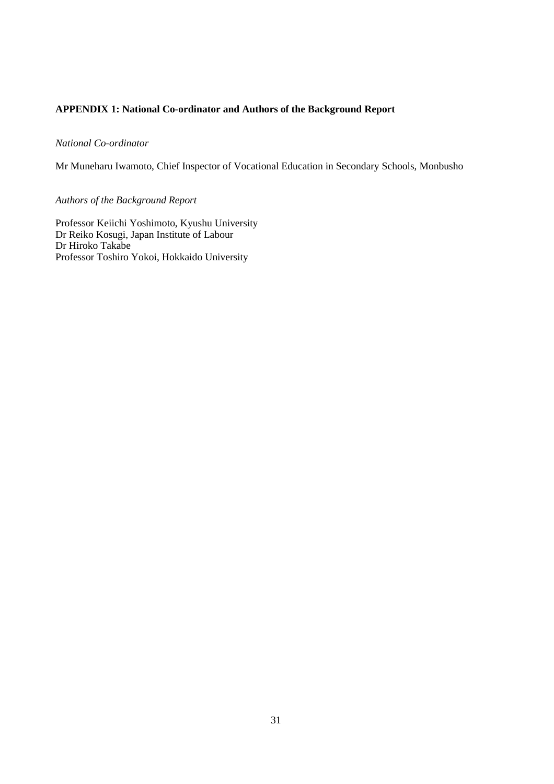# **APPENDIX 1: National Co-ordinator and Authors of the Background Report**

## *National Co-ordinator*

Mr Muneharu Iwamoto, Chief Inspector of Vocational Education in Secondary Schools, Monbusho

# *Authors of the Background Report*

Professor Keiichi Yoshimoto, Kyushu University Dr Reiko Kosugi, Japan Institute of Labour Dr Hiroko Takabe Professor Toshiro Yokoi, Hokkaido University